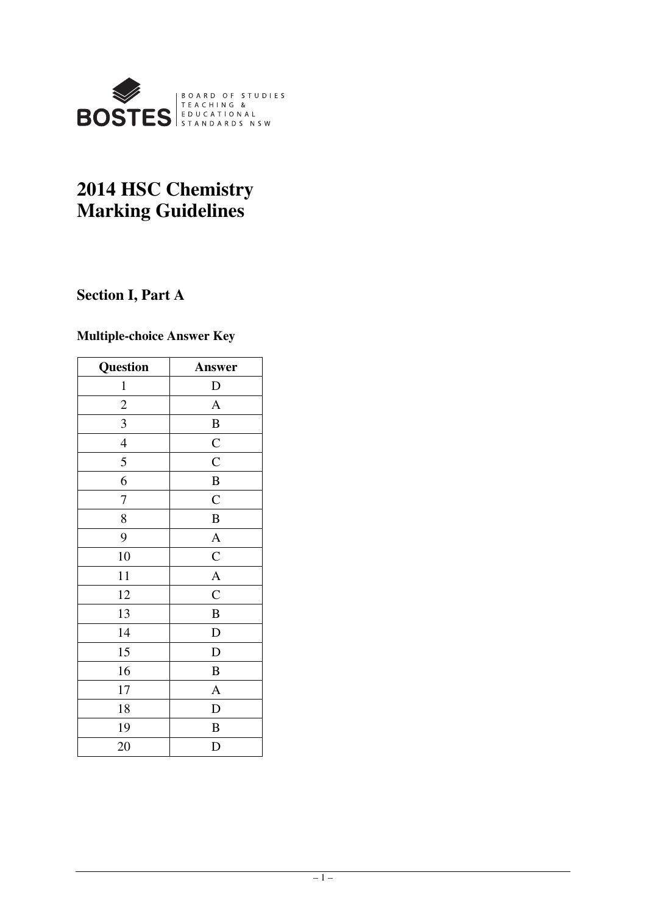

# **2014 HSC Chemistry Marking Guidelines**

# **Section I, Part A**

# **Multiple-choice Answer Key**

| Question       | Answer             |
|----------------|--------------------|
| $\mathbf{1}$   | $\mathbf D$        |
| $\overline{c}$ | $\mathbf{A}$       |
| 3              | $\boldsymbol{B}$   |
| $\overline{4}$ | $\overline{C}$     |
| 5              | $\overline{\rm C}$ |
| 6              | $\bf{B}$           |
| 7              | $\mathbf C$        |
| 8              | $\, {\bf B}$       |
| 9              | $\overline{A}$     |
| 10             | $\bar{C}$          |
| 11             | $\overline{A}$     |
| 12             | $\mathcal{C}$      |
| 13             | $\bf{B}$           |
| 14             | $\mathbf D$        |
| 15             | D                  |
| 16             | $\, {\bf B}$       |
| 17             | $\overline{A}$     |
| 18             | D                  |
| 19             | B                  |
| 20             | D                  |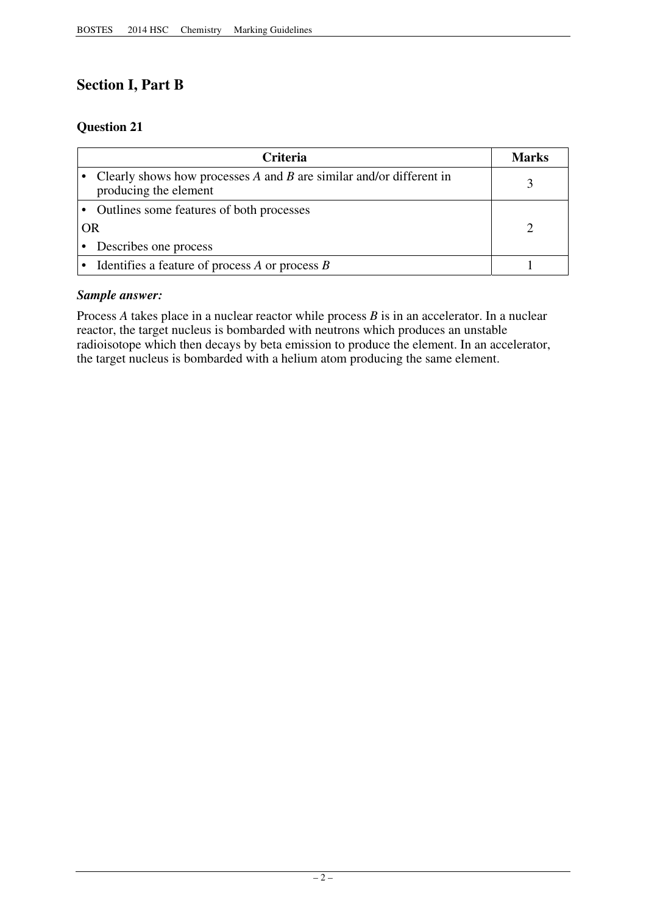# **Section I, Part B**

# **Question 21**

|    | <b>Criteria</b>                                                                                  | <b>Marks</b> |
|----|--------------------------------------------------------------------------------------------------|--------------|
|    | Clearly shows how processes $A$ and $B$ are similar and/or different in<br>producing the element |              |
|    | Outlines some features of both processes                                                         |              |
| OR |                                                                                                  |              |
|    | Describes one process                                                                            |              |
|    | Identifies a feature of process $A$ or process $B$                                               |              |

# *Sample answer:*

Process *A* takes place in a nuclear reactor while process *B* is in an accelerator. In a nuclear reactor, the target nucleus is bombarded with neutrons which produces an unstable radioisotope which then decays by beta emission to produce the element. In an accelerator, the target nucleus is bombarded with a helium atom producing the same element.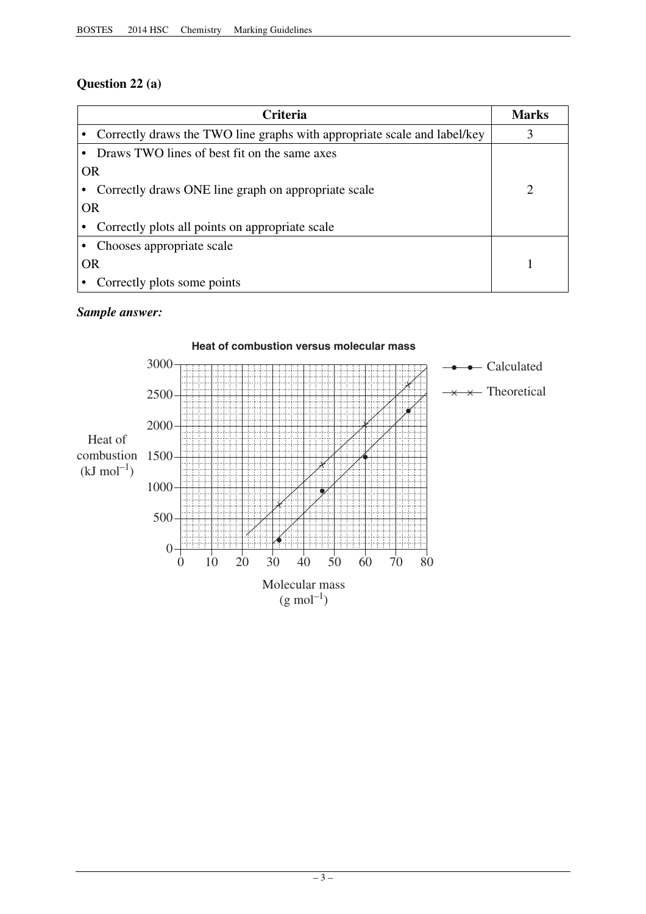# **Question 22 (a)**

| Criteria                                                                 | <b>Marks</b> |
|--------------------------------------------------------------------------|--------------|
| Correctly draws the TWO line graphs with appropriate scale and label/key |              |
| Draws TWO lines of best fit on the same axes                             |              |
| <b>OR</b>                                                                |              |
| Correctly draws ONE line graph on appropriate scale                      | 2            |
| <b>OR</b>                                                                |              |
| Correctly plots all points on appropriate scale                          |              |
| Chooses appropriate scale                                                |              |
| <b>OR</b>                                                                |              |
| Correctly plots some points                                              |              |

# *Sample answer:*

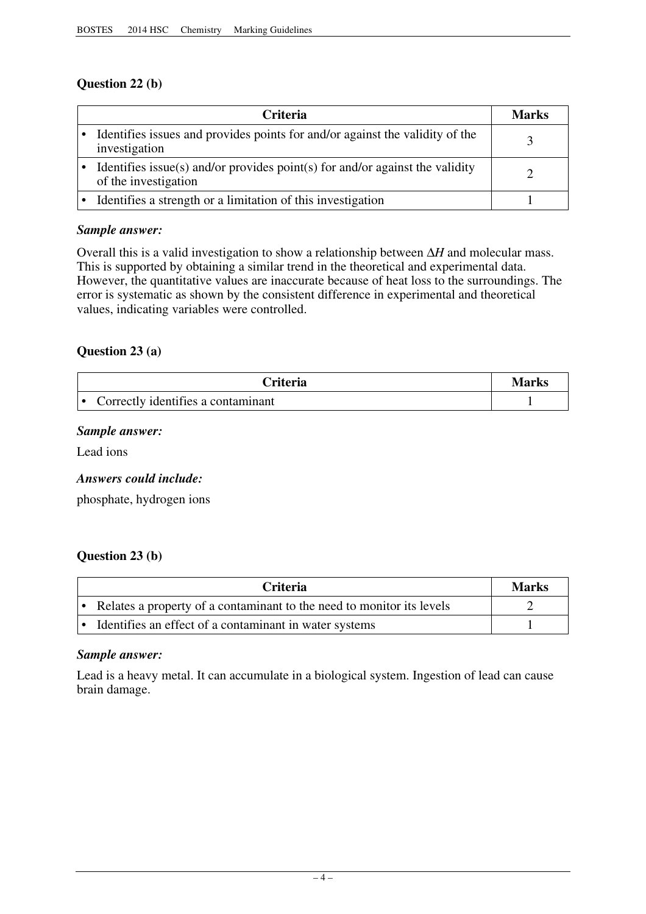# **Question 22 (b)**

| Criteria                                                                                             | Marks |
|------------------------------------------------------------------------------------------------------|-------|
| Identifies issues and provides points for and/or against the validity of the<br>investigation        |       |
| Identifies issue(s) and/or provides point(s) for and/or against the validity<br>of the investigation |       |
| Identifies a strength or a limitation of this investigation                                          |       |

# *Sample answer:*

Overall this is a valid investigation to show a relationship between  $\Delta H$  and molecular mass. This is supported by obtaining a similar trend in the theoretical and experimental data. However, the quantitative values are inaccurate because of heat loss to the surroundings. The error is systematic as shown by the consistent difference in experimental and theoretical values, indicating variables were controlled.

# **Question 23 (a)**

| <b>Criteria</b>                    | Marks |
|------------------------------------|-------|
| Correctly identifies a contaminant |       |

# *Sample answer:*

Lead ions

# *Answers could include:*

phosphate, hydrogen ions

# **Question 23 (b)**

| <b>Criteria</b>                                                       | Marks |
|-----------------------------------------------------------------------|-------|
| Relates a property of a contaminant to the need to monitor its levels |       |
| • Identifies an effect of a contaminant in water systems              |       |

# *Sample answer:*

Lead is a heavy metal. It can accumulate in a biological system. Ingestion of lead can cause brain damage.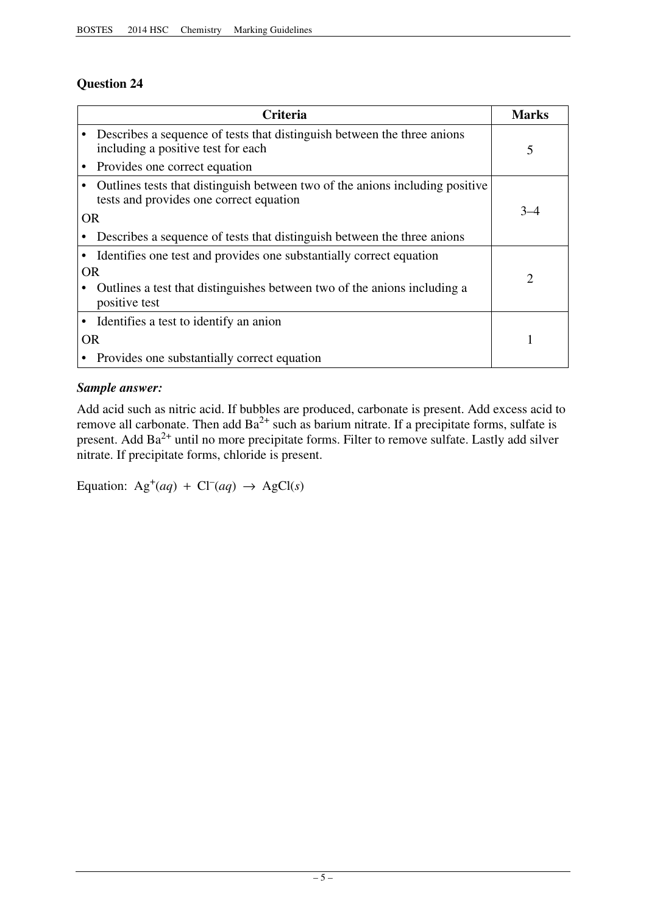# **Question 24**

|           | <b>Criteria</b>                                                                                                         | <b>Marks</b> |
|-----------|-------------------------------------------------------------------------------------------------------------------------|--------------|
|           | Describes a sequence of tests that distinguish between the three anions<br>including a positive test for each           | 5            |
|           | Provides one correct equation                                                                                           |              |
|           | Outlines tests that distinguish between two of the anions including positive<br>tests and provides one correct equation |              |
| <b>OR</b> |                                                                                                                         | $3 - 4$      |
|           | Describes a sequence of tests that distinguish between the three anions                                                 |              |
|           | Identifies one test and provides one substantially correct equation                                                     |              |
| <b>OR</b> |                                                                                                                         | 2            |
|           | Outlines a test that distinguishes between two of the anions including a<br>positive test                               |              |
|           | Identifies a test to identify an anion                                                                                  |              |
|           | <b>OR</b>                                                                                                               |              |
|           | Provides one substantially correct equation                                                                             |              |

# *Sample answer:*

Add acid such as nitric acid. If bubbles are produced, carbonate is present. Add excess acid to remove all carbonate. Then add  $Ba^{2+}$  such as barium nitrate. If a precipitate forms, sulfate is present. Add  $Ba^{2+}$  until no more precipitate forms. Filter to remove sulfate. Lastly add silver nitrate. If precipitate forms, chloride is present.

Equation:  $Ag^+(aq) + Cl^-(aq) \rightarrow AgCl(s)$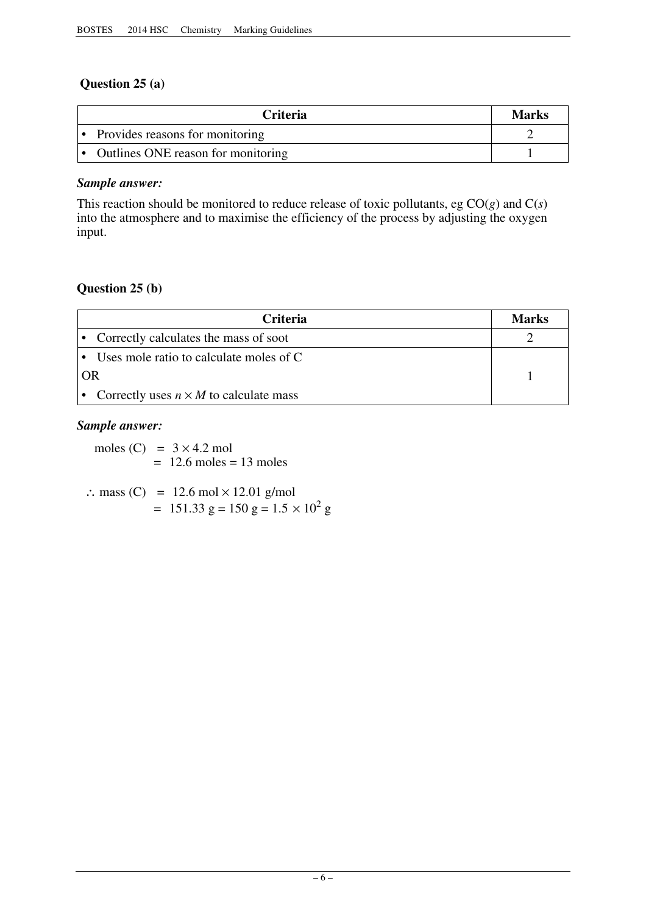# **Question 25 (a)**

| <b>Criteria</b>                      | <b>Marks</b> |
|--------------------------------------|--------------|
| • Provides reasons for monitoring    |              |
| • Outlines ONE reason for monitoring |              |

# *Sample answer:*

This reaction should be monitored to reduce release of toxic pollutants, eg  $CO(g)$  and  $C(s)$ into the atmosphere and to maximise the efficiency of the process by adjusting the oxygen input.

# **Question 25 (b)**

|    | <b>Criteria</b>                               | Marks |
|----|-----------------------------------------------|-------|
|    | • Correctly calculates the mass of soot       |       |
|    | • Uses mole ratio to calculate moles of C     |       |
| OR |                                               |       |
|    | Correctly uses $n \times M$ to calculate mass |       |

# *Sample answer:*

moles (C) =  $3 \times 4.2$  mol  $= 12.6$  moles  $= 13$  moles

 $\therefore$  mass (C) = 12.6 mol  $\times$  12.01 g/mol  $= 151.33 \text{ g} = 150 \text{ g} = 1.5 \times 10^2 \text{ g}$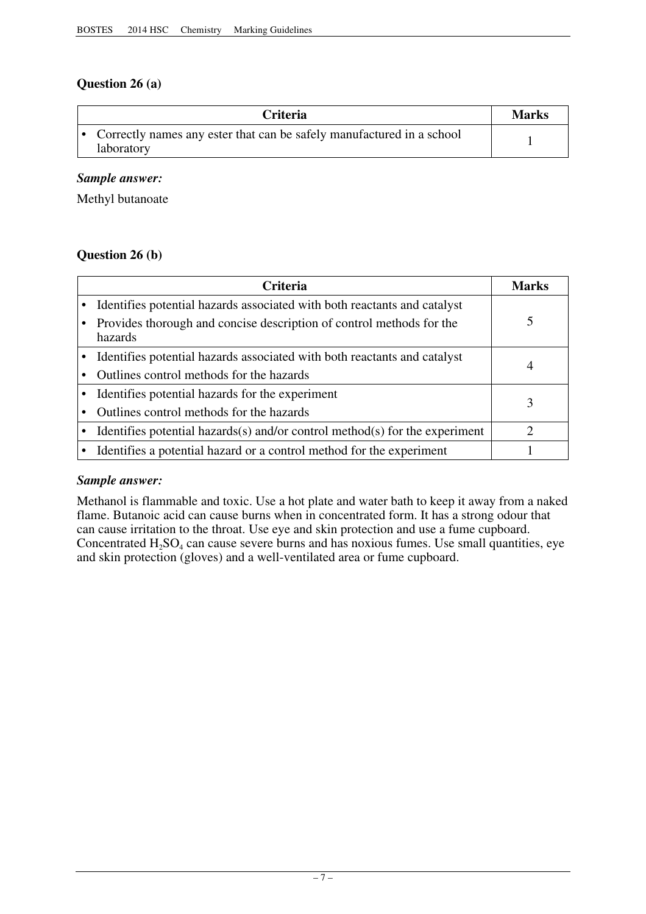# **Question 26 (a)**

| <b>Criteria</b>                                                                     | <b>Marks</b> |
|-------------------------------------------------------------------------------------|--------------|
| Correctly names any ester that can be safely manufactured in a school<br>laboratory |              |

# *Sample answer:*

Methyl butanoate

# **Question 26 (b)**

| Criteria                                                                        | Marks |
|---------------------------------------------------------------------------------|-------|
| Identifies potential hazards associated with both reactants and catalyst        |       |
| Provides thorough and concise description of control methods for the<br>hazards |       |
| Identifies potential hazards associated with both reactants and catalyst        | 4     |
| Outlines control methods for the hazards                                        |       |
| Identifies potential hazards for the experiment                                 | 3     |
| Outlines control methods for the hazards                                        |       |
| Identifies potential hazards(s) and/or control method(s) for the experiment     | റ     |
| Identifies a potential hazard or a control method for the experiment            |       |

# *Sample answer:*

Methanol is flammable and toxic. Use a hot plate and water bath to keep it away from a naked flame. Butanoic acid can cause burns when in concentrated form. It has a strong odour that can cause irritation to the throat. Use eye and skin protection and use a fume cupboard. Concentrated  $H_2SO_4$  can cause severe burns and has noxious fumes. Use small quantities, eye and skin protection (gloves) and a well-ventilated area or fume cupboard.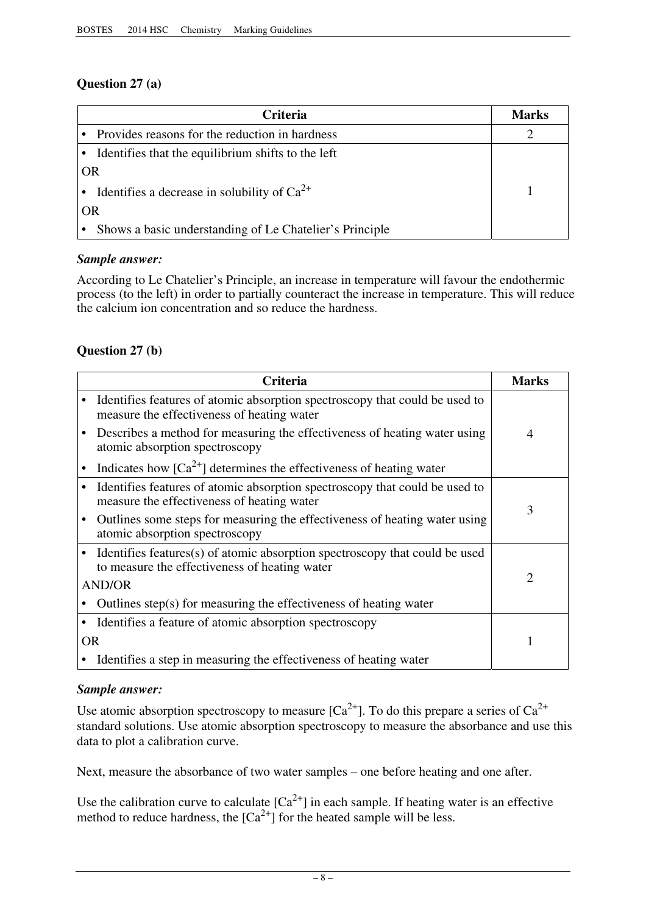# **Question 27 (a)**

|           | <b>Criteria</b>                                         | Marks |
|-----------|---------------------------------------------------------|-------|
|           | • Provides reasons for the reduction in hardness        |       |
|           | Identifies that the equilibrium shifts to the left      |       |
| <b>OR</b> |                                                         |       |
|           | Identifies a decrease in solubility of $Ca^{2+}$        |       |
| OR        |                                                         |       |
|           | Shows a basic understanding of Le Chatelier's Principle |       |

# *Sample answer:*

According to Le Chatelier's Principle, an increase in temperature will favour the endothermic process (to the left) in order to partially counteract the increase in temperature. This will reduce the calcium ion concentration and so reduce the hardness.

# **Question 27 (b)**

|           | Criteria                                                                                                                     | <b>Marks</b> |
|-----------|------------------------------------------------------------------------------------------------------------------------------|--------------|
|           | Identifies features of atomic absorption spectroscopy that could be used to<br>measure the effectiveness of heating water    |              |
|           | Describes a method for measuring the effectiveness of heating water using<br>atomic absorption spectroscopy                  | 4            |
|           | Indicates how $[Ca^{2+}]$ determines the effectiveness of heating water                                                      |              |
|           | Identifies features of atomic absorption spectroscopy that could be used to<br>measure the effectiveness of heating water    | 3            |
|           | Outlines some steps for measuring the effectiveness of heating water using<br>atomic absorption spectroscopy                 |              |
|           | Identifies features(s) of atomic absorption spectroscopy that could be used<br>to measure the effectiveness of heating water |              |
|           | <b>AND/OR</b>                                                                                                                | 2            |
|           | Outlines step(s) for measuring the effectiveness of heating water                                                            |              |
|           | Identifies a feature of atomic absorption spectroscopy                                                                       |              |
| <b>OR</b> |                                                                                                                              |              |
|           | Identifies a step in measuring the effectiveness of heating water                                                            |              |

# *Sample answer:*

Use atomic absorption spectroscopy to measure  $[Ca^{2+}]$ . To do this prepare a series of  $Ca^{2+}$ standard solutions. Use atomic absorption spectroscopy to measure the absorbance and use this data to plot a calibration curve.

Next, measure the absorbance of two water samples – one before heating and one after.

Use the calibration curve to calculate  $[Ca^{2+}]$  in each sample. If heating water is an effective method to reduce hardness, the  $[Ca^{2+}]$  for the heated sample will be less.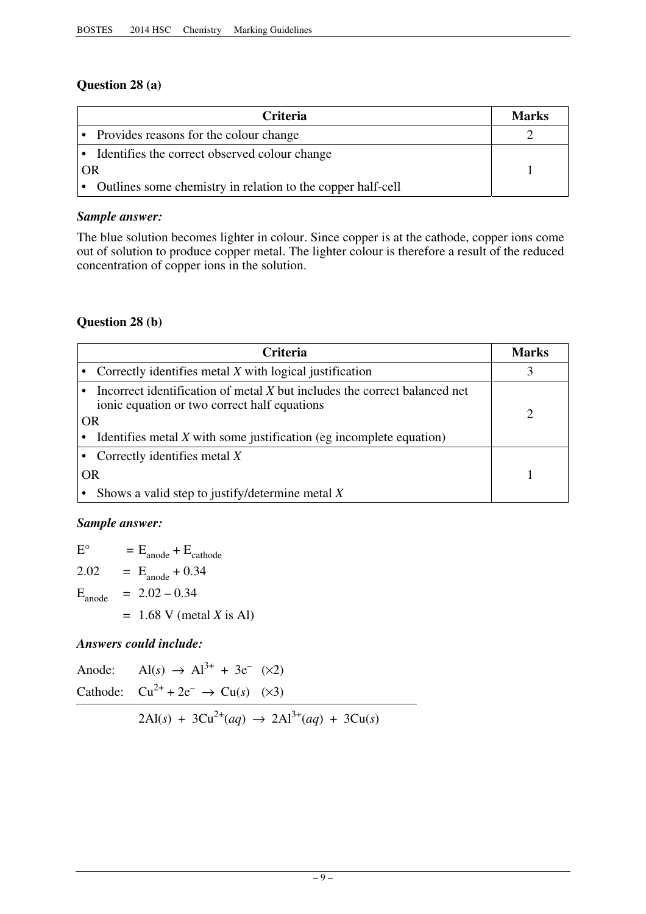# **Question 28 (a)**

|    | <b>Criteria</b>                                               |  |
|----|---------------------------------------------------------------|--|
|    | • Provides reasons for the colour change                      |  |
|    | • Identifies the correct observed colour change               |  |
| OR |                                                               |  |
|    | • Outlines some chemistry in relation to the copper half-cell |  |

# *Sample answer:*

The blue solution becomes lighter in colour. Since copper is at the cathode, copper ions come out of solution to produce copper metal. The lighter colour is therefore a result of the reduced concentration of copper ions in the solution.

# **Question 28 (b)**

| <b>Criteria</b>                                                                                                                 | <b>Marks</b> |
|---------------------------------------------------------------------------------------------------------------------------------|--------------|
| Correctly identifies metal $X$ with logical justification                                                                       |              |
| Incorrect identification of metal X but includes the correct balanced net<br>ionic equation or two correct half equations<br>OR |              |
| Identifies metal $X$ with some justification (eg incomplete equation)                                                           |              |
| Correctly identifies metal $X$                                                                                                  |              |
| OR                                                                                                                              |              |
| Shows a valid step to justify/determine metal $X$                                                                               |              |

# *Sample answer:*

 $E^{\circ}$  =  $E_{\text{anode}} + E_{\text{cathode}}$ 2.02 =  $E_{\text{anode}} + 0.34$  $E_{\text{anode}}$  = 2.02 – 0.34 = 1.68 V (metal *X* is Al)

# *Answers could include:*

| $2\text{Al}(s) + 3\text{Cu}^{2+}(aq) \rightarrow 2\text{Al}^{3+}(aq) + 3\text{Cu}(s)$ |
|---------------------------------------------------------------------------------------|
| Cathode: $Cu^{2+} + 2e^- \rightarrow Cu(s)$ (×3)                                      |
| Anode: $\text{Al}(s) \rightarrow \text{Al}^{3+} + 3\text{e}^{-} (\times 2)$           |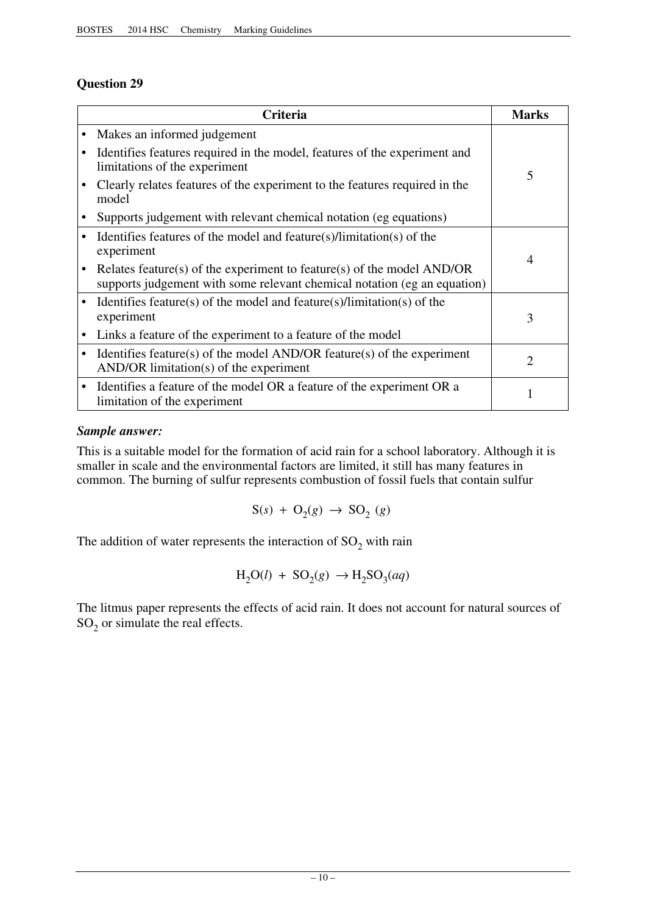# **Question 29**

|           | Criteria                                                                                                                                             | <b>Marks</b>                |
|-----------|------------------------------------------------------------------------------------------------------------------------------------------------------|-----------------------------|
|           | Makes an informed judgement                                                                                                                          |                             |
|           | Identifies features required in the model, features of the experiment and<br>limitations of the experiment                                           | 5                           |
|           | Clearly relates features of the experiment to the features required in the<br>model                                                                  |                             |
| ٠         | Supports judgement with relevant chemical notation (eg equations)                                                                                    |                             |
|           | Identifies features of the model and feature(s)/limitation(s) of the<br>experiment                                                                   | 4                           |
|           | Relates feature(s) of the experiment to feature(s) of the model $AND/OR$<br>supports judgement with some relevant chemical notation (eg an equation) |                             |
| $\bullet$ | Identifies feature(s) of the model and feature(s)/limitation(s) of the<br>experiment                                                                 | 3                           |
| $\bullet$ | Links a feature of the experiment to a feature of the model                                                                                          |                             |
| $\bullet$ | Identifies feature(s) of the model AND/OR feature(s) of the experiment<br>$AND/OR$ limitation(s) of the experiment                                   | $\mathcal{D}_{\mathcal{L}}$ |
| $\bullet$ | Identifies a feature of the model OR a feature of the experiment OR a<br>limitation of the experiment                                                |                             |

# *Sample answer:*

This is a suitable model for the formation of acid rain for a school laboratory. Although it is smaller in scale and the environmental factors are limited, it still has many features in common. The burning of sulfur represents combustion of fossil fuels that contain sulfur

$$
S(s) + O_2(g) \rightarrow SO_2(g)
$$

The addition of water represents the interaction of  $SO_2$  with rain

$$
H_2O(l) + SO_2(g) \rightarrow H_2SO_3(aq)
$$

The litmus paper represents the effects of acid rain. It does not account for natural sources of  $SO<sub>2</sub>$  or simulate the real effects.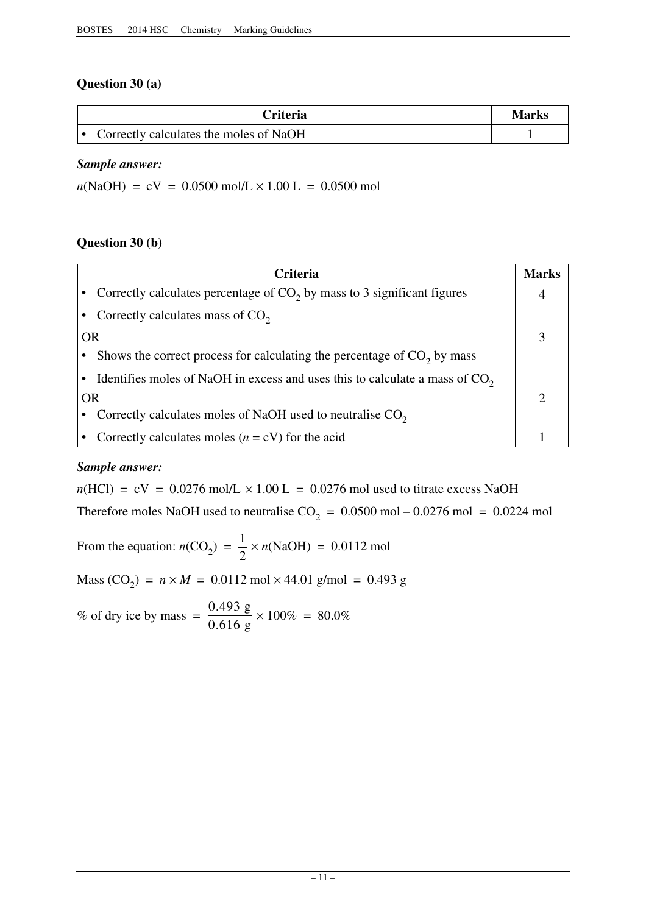# **Question 30 (a)**

| <b>Criteria</b>                          | Marks |
|------------------------------------------|-------|
| • Correctly calculates the moles of NaOH |       |

# *Sample answer:*

 $n(NaOH) = cV = 0.0500 \text{ mol/L} \times 1.00 \text{ L} = 0.0500 \text{ mol}$ 

# **Question 30 (b)**

|           | Criteria                                                                      | <b>Marks</b> |
|-----------|-------------------------------------------------------------------------------|--------------|
|           | • Correctly calculates percentage of $CO2$ by mass to 3 significant figures   |              |
|           | Correctly calculates mass of $CO2$                                            |              |
| <b>OR</b> |                                                                               |              |
|           | Shows the correct process for calculating the percentage of $CO2$ by mass     |              |
|           | Identifies moles of NaOH in excess and uses this to calculate a mass of $CO2$ |              |
|           | OR                                                                            |              |
|           | Correctly calculates moles of NaOH used to neutralise $CO2$                   |              |
|           | Correctly calculates moles $(n = cV)$ for the acid                            |              |

# *Sample answer:*

 $n(HCl) = cV = 0.0276$  mol/L  $\times$  1.00 L = 0.0276 mol used to titrate excess NaOH Therefore moles NaOH used to neutralise  $CO_2 = 0.0500$  mol – 0.0276 mol = 0.0224 mol

From the equation:  $n(CO_2) = \frac{1}{2} \times n(NaOH) = 0.0112 \text{ mol}$ 

 $Mass (CO<sub>2</sub>) = n \times M = 0.0112 \text{ mol} \times 44.01 \text{ g/mol} = 0.493 \text{ g}$ 

% of dry ice by mass =  $\frac{0.493 \text{ g}}{0.616} \times 100\% = 80.0\%$ 0.616 g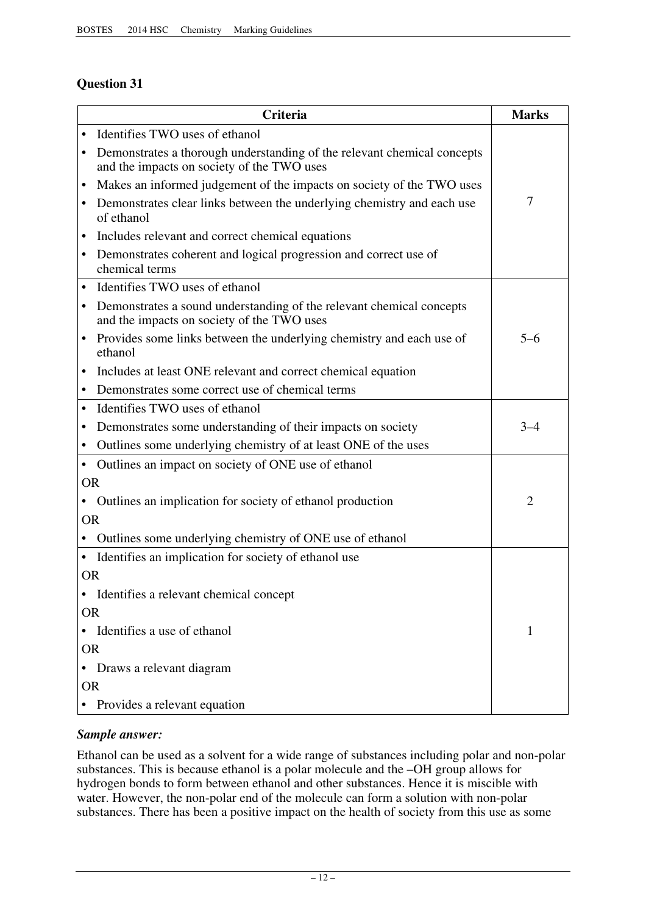# **Question 31**

|           | Criteria                                                                                                              | <b>Marks</b>   |
|-----------|-----------------------------------------------------------------------------------------------------------------------|----------------|
| $\bullet$ | Identifies TWO uses of ethanol                                                                                        |                |
| ٠         | Demonstrates a thorough understanding of the relevant chemical concepts<br>and the impacts on society of the TWO uses |                |
| $\bullet$ | Makes an informed judgement of the impacts on society of the TWO uses                                                 |                |
| $\bullet$ | Demonstrates clear links between the underlying chemistry and each use<br>of ethanol                                  | $\overline{7}$ |
|           | Includes relevant and correct chemical equations                                                                      |                |
| $\bullet$ | Demonstrates coherent and logical progression and correct use of<br>chemical terms                                    |                |
| $\bullet$ | Identifies TWO uses of ethanol                                                                                        |                |
| ٠         | Demonstrates a sound understanding of the relevant chemical concepts<br>and the impacts on society of the TWO uses    |                |
| ٠         | Provides some links between the underlying chemistry and each use of<br>ethanol                                       | $5 - 6$        |
| ٠         | Includes at least ONE relevant and correct chemical equation                                                          |                |
| ٠         | Demonstrates some correct use of chemical terms                                                                       |                |
| $\bullet$ | Identifies TWO uses of ethanol                                                                                        |                |
| ٠         | Demonstrates some understanding of their impacts on society                                                           | $3 - 4$        |
| $\bullet$ | Outlines some underlying chemistry of at least ONE of the uses                                                        |                |
| $\bullet$ | Outlines an impact on society of ONE use of ethanol                                                                   |                |
| <b>OR</b> |                                                                                                                       |                |
|           | Outlines an implication for society of ethanol production                                                             | $\overline{2}$ |
| <b>OR</b> |                                                                                                                       |                |
|           | Outlines some underlying chemistry of ONE use of ethanol                                                              |                |
| $\bullet$ | Identifies an implication for society of ethanol use                                                                  |                |
| <b>OR</b> |                                                                                                                       |                |
| $\bullet$ | Identifies a relevant chemical concept                                                                                |                |
| <b>OR</b> |                                                                                                                       |                |
|           | • Identifies a use of ethanol                                                                                         | 1              |
| <b>OR</b> |                                                                                                                       |                |
|           | Draws a relevant diagram                                                                                              |                |
| <b>OR</b> |                                                                                                                       |                |
|           | • Provides a relevant equation                                                                                        |                |

# *Sample answer:*

Ethanol can be used as a solvent for a wide range of substances including polar and non-polar substances. This is because ethanol is a polar molecule and the –OH group allows for hydrogen bonds to form between ethanol and other substances. Hence it is miscible with water. However, the non-polar end of the molecule can form a solution with non-polar substances. There has been a positive impact on the health of society from this use as some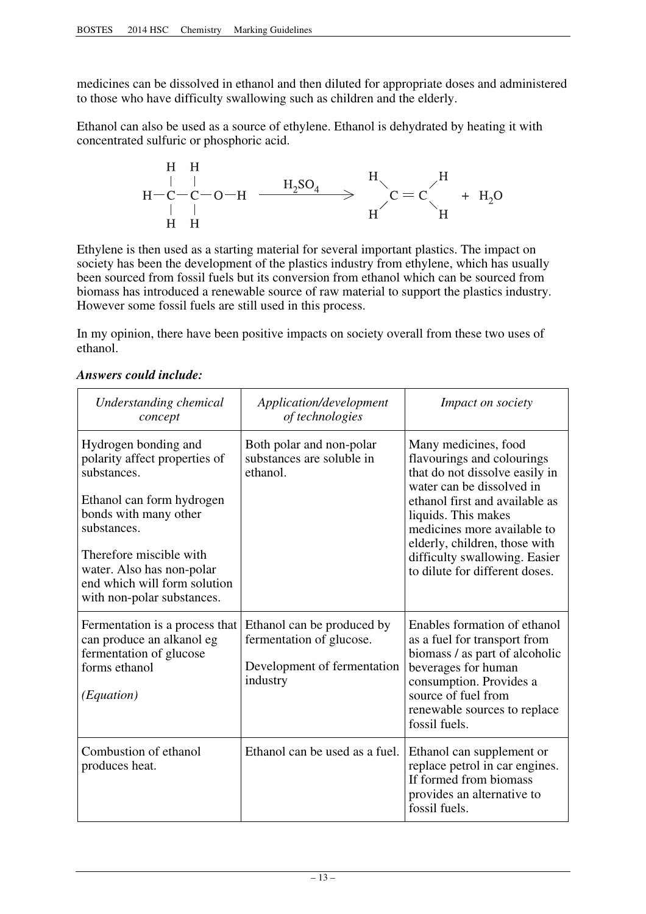medicines can be dissolved in ethanol and then diluted for appropriate doses and administered to those who have difficulty swallowing such as children and the elderly.

Ethanol can also be used as a source of ethylene. Ethanol is dehydrated by heating it with concentrated sulfuric or phosphoric acid.

$$
\begin{array}{cccc}\nH & H & H \\
| & | & \n- C - C - O - H & \xrightarrow{H_2SO_4} & \rightarrow & H \\
| & | & \n\end{array} \hspace{-.2cm} \sum_{H}^{H} C = C \hspace{-.2cm} \begin{array}{cccc}\nH & H_2O & H \\
H & H_3O & \n\end{array}
$$

Ethylene is then used as a starting material for several important plastics. The impact on society has been the development of the plastics industry from ethylene, which has usually been sourced from fossil fuels but its conversion from ethanol which can be sourced from biomass has introduced a renewable source of raw material to support the plastics industry. However some fossil fuels are still used in this process.

In my opinion, there have been positive impacts on society overall from these two uses of ethanol.

| Understanding chemical<br>concept                                                                                                                                                                                                                               | Application/development<br>of technologies                                                        | <i>Impact on society</i>                                                                                                                                                                                                                                                                                      |
|-----------------------------------------------------------------------------------------------------------------------------------------------------------------------------------------------------------------------------------------------------------------|---------------------------------------------------------------------------------------------------|---------------------------------------------------------------------------------------------------------------------------------------------------------------------------------------------------------------------------------------------------------------------------------------------------------------|
| Hydrogen bonding and<br>polarity affect properties of<br>substances.<br>Ethanol can form hydrogen<br>bonds with many other<br>substances.<br>Therefore miscible with<br>water. Also has non-polar<br>end which will form solution<br>with non-polar substances. | Both polar and non-polar<br>substances are soluble in<br>ethanol.                                 | Many medicines, food<br>flavourings and colourings<br>that do not dissolve easily in<br>water can be dissolved in<br>ethanol first and available as<br>liquids. This makes<br>medicines more available to<br>elderly, children, those with<br>difficulty swallowing. Easier<br>to dilute for different doses. |
| Fermentation is a process that<br>can produce an alkanol eg<br>fermentation of glucose<br>forms ethanol<br>(Equation)                                                                                                                                           | Ethanol can be produced by<br>fermentation of glucose.<br>Development of fermentation<br>industry | Enables formation of ethanol<br>as a fuel for transport from<br>biomass / as part of alcoholic<br>beverages for human<br>consumption. Provides a<br>source of fuel from<br>renewable sources to replace<br>fossil fuels.                                                                                      |
| Combustion of ethanol<br>produces heat.                                                                                                                                                                                                                         | Ethanol can be used as a fuel.                                                                    | Ethanol can supplement or<br>replace petrol in car engines.<br>If formed from biomass<br>provides an alternative to<br>fossil fuels.                                                                                                                                                                          |

# *Answers could include:*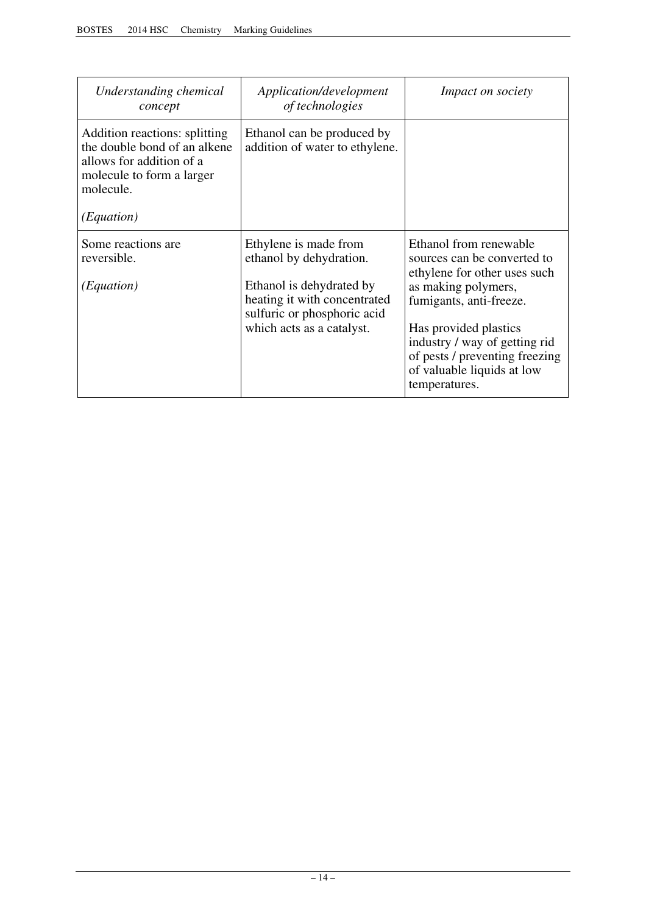| Understanding chemical<br>concept                                                                                                                 | Application/development<br>of technologies                                                                                                                               | <i>Impact on society</i>                                                                                                                                                                                                                                                           |
|---------------------------------------------------------------------------------------------------------------------------------------------------|--------------------------------------------------------------------------------------------------------------------------------------------------------------------------|------------------------------------------------------------------------------------------------------------------------------------------------------------------------------------------------------------------------------------------------------------------------------------|
| Addition reactions: splitting<br>the double bond of an alkene<br>allows for addition of a<br>molecule to form a larger<br>molecule.<br>(Equation) | Ethanol can be produced by<br>addition of water to ethylene.                                                                                                             |                                                                                                                                                                                                                                                                                    |
| Some reactions are<br>reversible.<br>(Equation)                                                                                                   | Ethylene is made from<br>ethanol by dehydration.<br>Ethanol is dehydrated by<br>heating it with concentrated<br>sulfuric or phosphoric acid<br>which acts as a catalyst. | Ethanol from renewable<br>sources can be converted to<br>ethylene for other uses such<br>as making polymers,<br>fumigants, anti-freeze.<br>Has provided plastics<br>industry / way of getting rid<br>of pests / preventing freezing<br>of valuable liquids at low<br>temperatures. |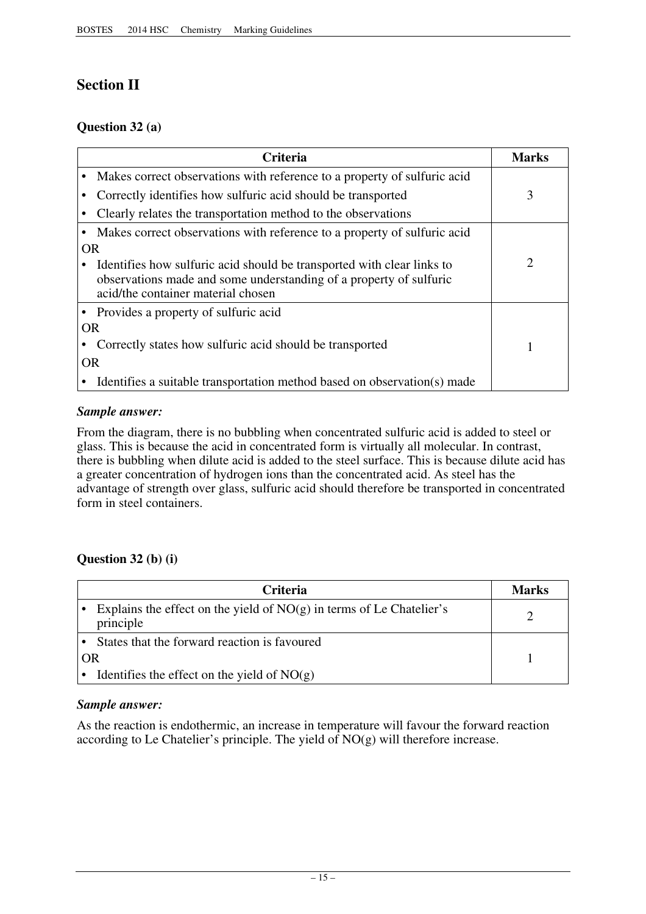# **Section II**

# **Question 32 (a)**

|           | <b>Criteria</b>                                                                                                                                                                    | Marks          |
|-----------|------------------------------------------------------------------------------------------------------------------------------------------------------------------------------------|----------------|
|           | Makes correct observations with reference to a property of sulfuric acid                                                                                                           |                |
|           | Correctly identifies how sulfuric acid should be transported                                                                                                                       | 3              |
|           | Clearly relates the transportation method to the observations                                                                                                                      |                |
|           | Makes correct observations with reference to a property of sulfuric acid                                                                                                           |                |
| <b>OR</b> |                                                                                                                                                                                    |                |
|           | Identifies how sulfuric acid should be transported with clear links to<br>observations made and some understanding of a property of sulfuric<br>acid/the container material chosen | $\mathfrak{2}$ |
|           | • Provides a property of sulfuric acid                                                                                                                                             |                |
| <b>OR</b> |                                                                                                                                                                                    |                |
|           | Correctly states how sulfuric acid should be transported                                                                                                                           |                |
| 0R        |                                                                                                                                                                                    |                |
|           | Identifies a suitable transportation method based on observation(s) made                                                                                                           |                |

# *Sample answer:*

From the diagram, there is no bubbling when concentrated sulfuric acid is added to steel or glass. This is because the acid in concentrated form is virtually all molecular. In contrast, there is bubbling when dilute acid is added to the steel surface. This is because dilute acid has a greater concentration of hydrogen ions than the concentrated acid. As steel has the advantage of strength over glass, sulfuric acid should therefore be transported in concentrated form in steel containers.

# **Question 32 (b) (i)**

| <b>Criteria</b>                                                                     | <b>Marks</b> |
|-------------------------------------------------------------------------------------|--------------|
| Explains the effect on the yield of $NO(g)$ in terms of Le Chatelier's<br>principle |              |
| States that the forward reaction is favoured                                        |              |
| OR                                                                                  |              |
| Identifies the effect on the yield of $NO(g)$                                       |              |

# *Sample answer:*

As the reaction is endothermic, an increase in temperature will favour the forward reaction according to Le Chatelier's principle. The yield of  $NO(g)$  will therefore increase.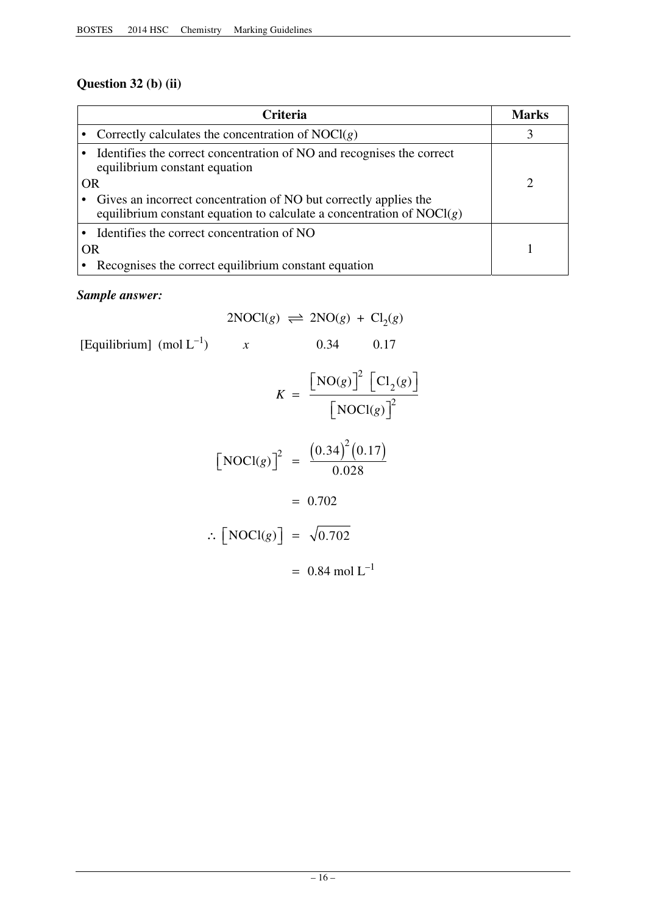# **Question 32 (b) (ii)**

|           | <b>Criteria</b>                                                                                                                               | <b>Marks</b> |
|-----------|-----------------------------------------------------------------------------------------------------------------------------------------------|--------------|
|           | • Correctly calculates the concentration of $NOCl(g)$                                                                                         |              |
|           | • Identifies the correct concentration of NO and recognises the correct<br>equilibrium constant equation                                      |              |
|           | OR                                                                                                                                            |              |
|           | • Gives an incorrect concentration of NO but correctly applies the<br>equilibrium constant equation to calculate a concentration of $NOCI(g)$ |              |
|           | • Identifies the correct concentration of NO                                                                                                  |              |
| <b>OR</b> |                                                                                                                                               |              |
|           | Recognises the correct equilibrium constant equation                                                                                          |              |

# *Sample answer:*

$$
2NOCl(g) \implies 2NO(g) + Cl_2(g)
$$
  
\n[Equilibrium] (mol L<sup>-1</sup>)   
\n
$$
K = \frac{[NO(g)]^2 [Cl_2(g)]}{[NOCl(g)]^2}
$$
  
\n
$$
[NOCl(g)]^2 = \frac{(0.34)^2 (0.17)}{0.028}
$$
  
\n
$$
= 0.702
$$
  
\n
$$
\therefore [NOCl(g)] = \sqrt{0.702}
$$
  
\n
$$
= 0.84 \text{ mol L}^{-1}
$$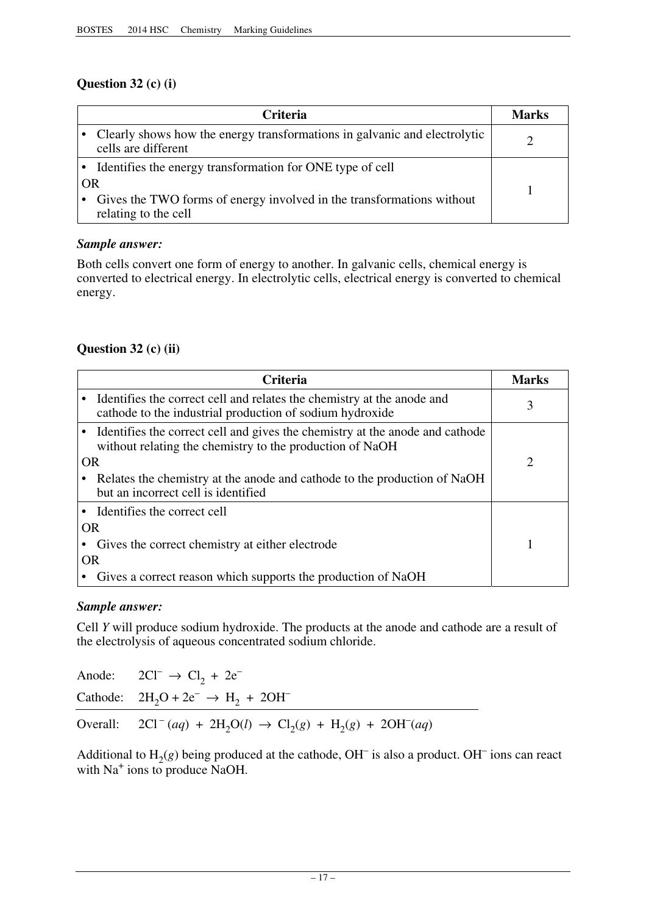# **Question 32 (c) (i)**

| <b>Criteria</b> |                                                                                                  | <b>Marks</b> |
|-----------------|--------------------------------------------------------------------------------------------------|--------------|
|                 | Clearly shows how the energy transformations in galvanic and electrolytic<br>cells are different |              |
|                 | • Identifies the energy transformation for ONE type of cell                                      |              |
| OR              |                                                                                                  |              |
|                 | Gives the TWO forms of energy involved in the transformations without<br>relating to the cell    |              |

# *Sample answer:*

Both cells convert one form of energy to another. In galvanic cells, chemical energy is converted to electrical energy. In electrolytic cells, electrical energy is converted to chemical energy.

# **Question 32 (c) (ii)**

|    | <b>Criteria</b>                                                                                                                            | Marks |
|----|--------------------------------------------------------------------------------------------------------------------------------------------|-------|
|    | • Identifies the correct cell and relates the chemistry at the anode and<br>cathode to the industrial production of sodium hydroxide       | 3     |
|    | • Identifies the correct cell and gives the chemistry at the anode and cathode<br>without relating the chemistry to the production of NaOH |       |
| OR |                                                                                                                                            | 2     |
|    | Relates the chemistry at the anode and cathode to the production of NaOH<br>but an incorrect cell is identified                            |       |
|    | • Identifies the correct cell                                                                                                              |       |
| OR |                                                                                                                                            |       |
|    | Gives the correct chemistry at either electrode                                                                                            |       |
| OR |                                                                                                                                            |       |
|    | Gives a correct reason which supports the production of NaOH                                                                               |       |

# *Sample answer:*

Cell *Y* will produce sodium hydroxide. The products at the anode and cathode are a result of the electrolysis of aqueous concentrated sodium chloride.

| Anode: $2CI^{-} \rightarrow Cl_{2} + 2e^{-}$                             |
|--------------------------------------------------------------------------|
| Cathode: $2H_2O + 2e^- \rightarrow H_2 + 2OH^-$                          |
| Overall: $2Cl^-(aq) + 2H_2O(l) \rightarrow Cl_2(g) + H_2(g) + 2OH^-(aq)$ |

Additional to  $H_2(g)$  being produced at the cathode, OH<sup>-</sup> is also a product. OH<sup>-</sup> ions can react with Na<sup>+</sup> ions to produce NaOH.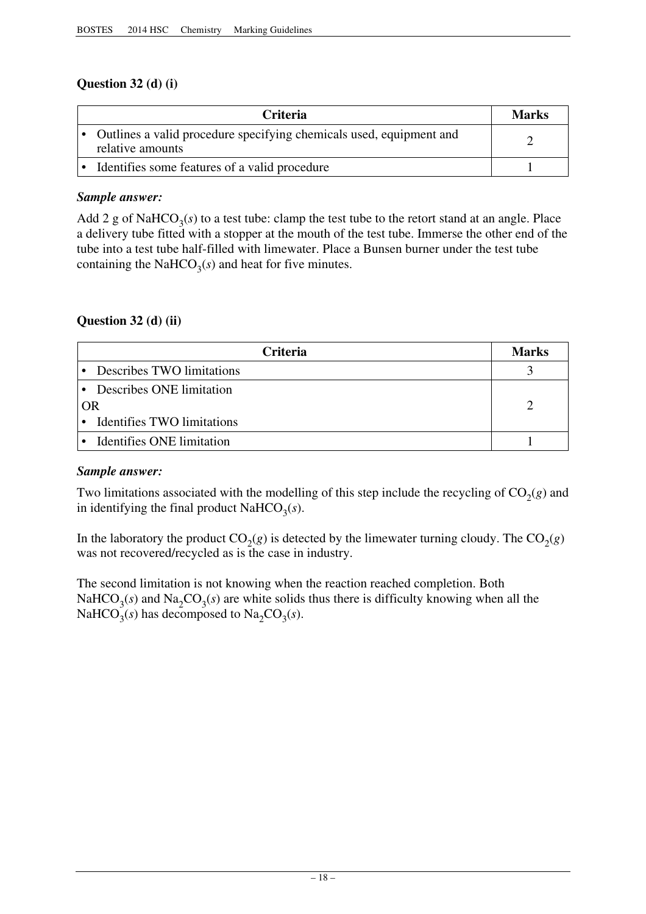# **Question 32 (d) (i)**

| <b>Criteria</b>                                                                         | <b>Marks</b> |
|-----------------------------------------------------------------------------------------|--------------|
| Outlines a valid procedure specifying chemicals used, equipment and<br>relative amounts |              |
| Identifies some features of a valid procedure                                           |              |

# *Sample answer:*

Add 2 g of NaHCO<sub>3</sub>( $s$ ) to a test tube: clamp the test tube to the retort stand at an angle. Place a delivery tube fitted with a stopper at the mouth of the test tube. Immerse the other end of the tube into a test tube half-filled with limewater. Place a Bunsen burner under the test tube containing the NaHCO<sub>3</sub>( $s$ ) and heat for five minutes.

# **Question 32 (d) (ii)**

| <b>Criteria</b>              | Marks |
|------------------------------|-------|
| • Describes TWO limitations  |       |
| • Describes ONE limitation   |       |
| OR                           |       |
| • Identifies TWO limitations |       |
| • Identifies ONE limitation  |       |

# *Sample answer:*

Two limitations associated with the modelling of this step include the recycling of  $CO<sub>2</sub>(g)$  and in identifying the final product NaHCO<sub>3</sub>( $s$ ).

In the laboratory the product  $CO<sub>2</sub>(g)$  is detected by the limewater turning cloudy. The  $CO<sub>2</sub>(g)$ was not recovered/recycled as is the case in industry.

The second limitation is not knowing when the reaction reached completion. Both NaHCO<sub>3</sub>(s) and Na<sub>2</sub>CO<sub>3</sub>(s) are white solids thus there is difficulty knowing when all the NaHCO<sub>3</sub>(s) has decomposed to Na<sub>2</sub>CO<sub>3</sub>(s).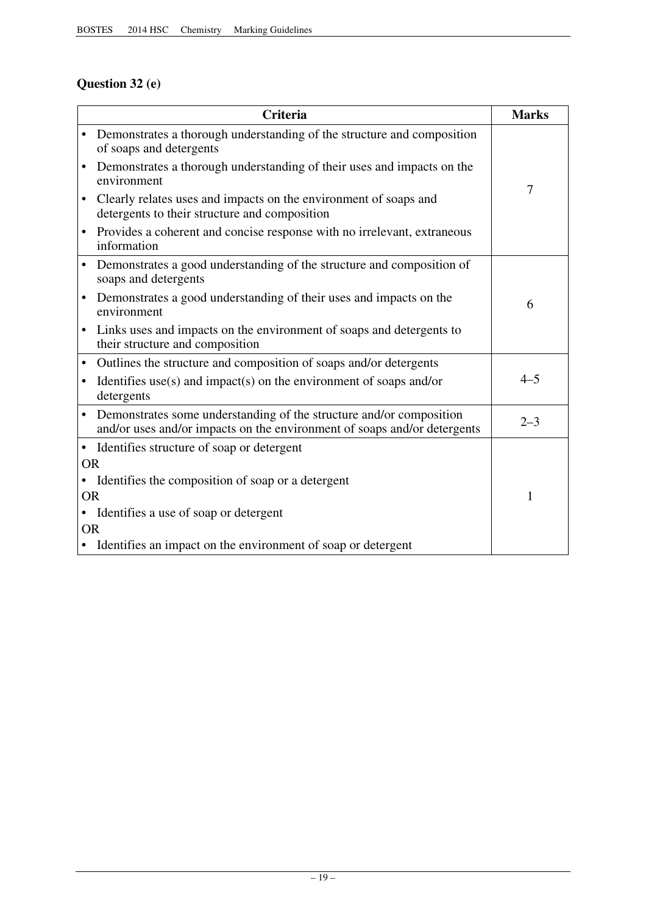# **Question 32 (e)**

|           | <b>Criteria</b>                                                                                                                                 | <b>Marks</b> |
|-----------|-------------------------------------------------------------------------------------------------------------------------------------------------|--------------|
|           | Demonstrates a thorough understanding of the structure and composition<br>of soaps and detergents                                               |              |
|           | Demonstrates a thorough understanding of their uses and impacts on the<br>environment                                                           | 7            |
|           | Clearly relates uses and impacts on the environment of soaps and<br>detergents to their structure and composition                               |              |
|           | Provides a coherent and concise response with no irrelevant, extraneous<br>information                                                          |              |
|           | Demonstrates a good understanding of the structure and composition of<br>soaps and detergents                                                   |              |
| $\bullet$ | Demonstrates a good understanding of their uses and impacts on the<br>environment                                                               | 6            |
| ٠         | Links uses and impacts on the environment of soaps and detergents to<br>their structure and composition                                         |              |
| $\bullet$ | Outlines the structure and composition of soaps and/or detergents                                                                               |              |
|           | Identifies use(s) and impact(s) on the environment of soaps and/or<br>detergents                                                                | $4 - 5$      |
| $\bullet$ | Demonstrates some understanding of the structure and/or composition<br>and/or uses and/or impacts on the environment of soaps and/or detergents | $2 - 3$      |
|           | • Identifies structure of soap or detergent                                                                                                     |              |
| <b>OR</b> |                                                                                                                                                 |              |
| $\bullet$ | Identifies the composition of soap or a detergent                                                                                               |              |
| <b>OR</b> |                                                                                                                                                 | 1            |
|           | • Identifies a use of soap or detergent                                                                                                         |              |
| <b>OR</b> |                                                                                                                                                 |              |
|           | • Identifies an impact on the environment of soap or detergent                                                                                  |              |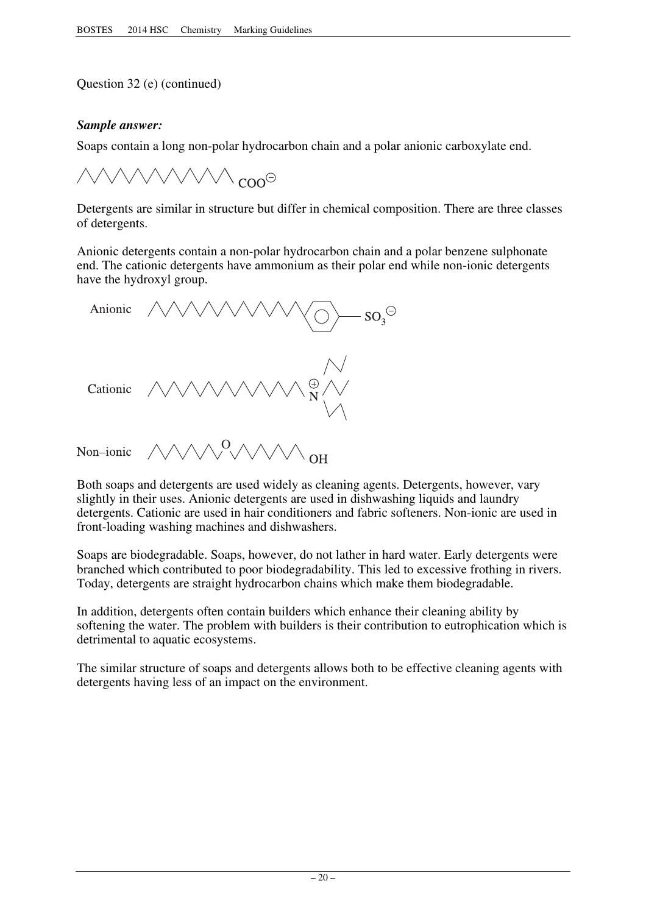Question 32 (e) (continued)

# *Sample answer:*

Soaps contain a long non-polar hydrocarbon chain and a polar anionic carboxylate end.

 $\gamma$  con $\Theta$ 

Detergents are similar in structure but differ in chemical composition. There are three classes of detergents.

Anionic detergents contain a non-polar hydrocarbon chain and a polar benzene sulphonate end. The cationic detergents have ammonium as their polar end while non-ionic detergents have the hydroxyl group.



Both soaps and detergents are used widely as cleaning agents. Detergents, however, vary slightly in their uses. Anionic detergents are used in dishwashing liquids and laundry detergents. Cationic are used in hair conditioners and fabric softeners. Non-ionic are used in front-loading washing machines and dishwashers.

Soaps are biodegradable. Soaps, however, do not lather in hard water. Early detergents were branched which contributed to poor biodegradability. This led to excessive frothing in rivers. Today, detergents are straight hydrocarbon chains which make them biodegradable.

In addition, detergents often contain builders which enhance their cleaning ability by softening the water. The problem with builders is their contribution to eutrophication which is detrimental to aquatic ecosystems.

The similar structure of soaps and detergents allows both to be effective cleaning agents with detergents having less of an impact on the environment.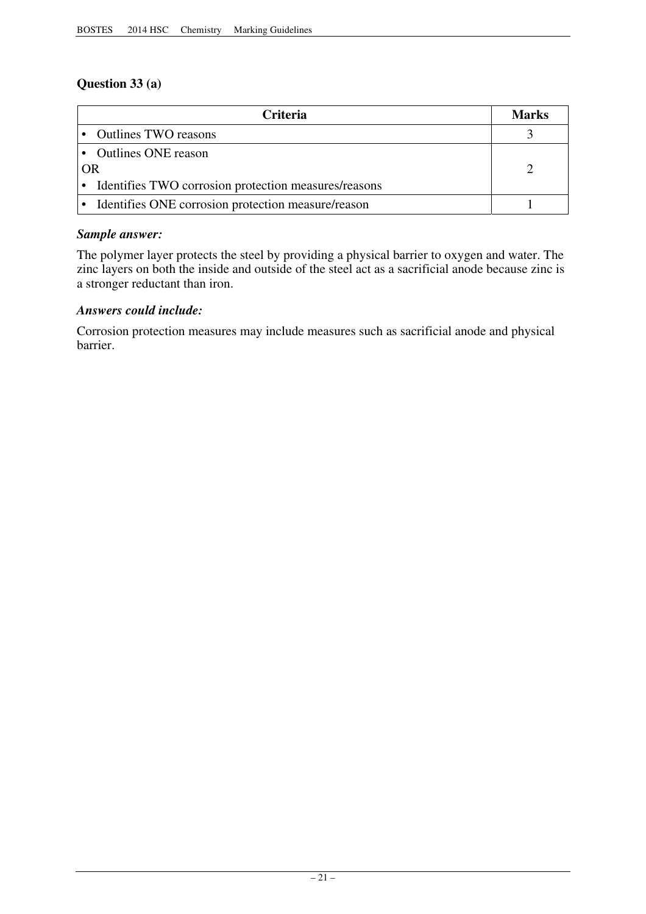# **Question 33 (a)**

| Criteria                                               | Marks |
|--------------------------------------------------------|-------|
| • Outlines TWO reasons                                 |       |
| • Outlines ONE reason                                  |       |
| <b>OR</b>                                              |       |
| • Identifies TWO corrosion protection measures/reasons |       |
| • Identifies ONE corrosion protection measure/reason   |       |

# *Sample answer:*

The polymer layer protects the steel by providing a physical barrier to oxygen and water. The zinc layers on both the inside and outside of the steel act as a sacrificial anode because zinc is a stronger reductant than iron.

# *Answers could include:*

Corrosion protection measures may include measures such as sacrificial anode and physical barrier.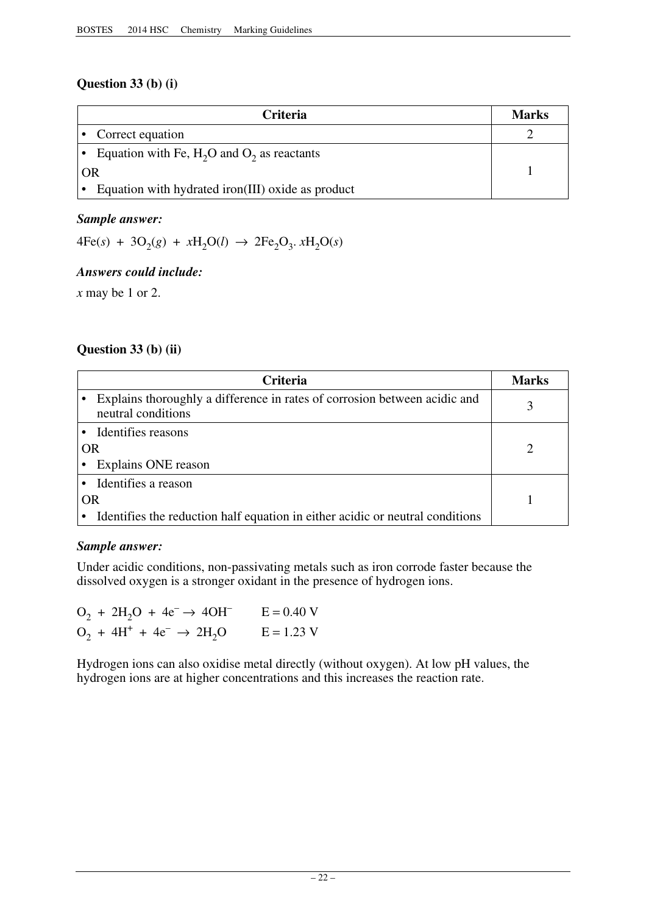# **Question 33 (b) (i)**

| <b>Criteria</b>                                   | Marks |
|---------------------------------------------------|-------|
| • Correct equation                                |       |
| Equation with Fe, $H_2O$ and $O_2$ as reactants   |       |
| OR                                                |       |
| Equation with hydrated iron(III) oxide as product |       |

# *Sample answer:*

 $4Fe(s) + 3O_2(g) + xH_2O(l) \rightarrow 2Fe_2O_3$ .  $xH_2O(s)$ 

# *Answers could include:*

*x* may be 1 or 2.

# **Question 33 (b) (ii)**

|           | <b>Criteria</b>                                                                                 | Marks |
|-----------|-------------------------------------------------------------------------------------------------|-------|
|           | Explains thoroughly a difference in rates of corrosion between acidic and<br>neutral conditions |       |
|           | • Identifies reasons                                                                            |       |
|           | <b>OR</b>                                                                                       |       |
|           | Explains ONE reason                                                                             |       |
|           | Identifies a reason                                                                             |       |
| <b>OR</b> |                                                                                                 |       |
|           | Identifies the reduction half equation in either acidic or neutral conditions                   |       |

# *Sample answer:*

Under acidic conditions, non-passivating metals such as iron corrode faster because the dissolved oxygen is a stronger oxidant in the presence of hydrogen ions.

| $O_2 + 2H_2O + 4e^- \rightarrow 4OH^-$ | $E = 0.40 V$ |
|----------------------------------------|--------------|
| $O_2 + 4H^+ + 4e^- \rightarrow 2H_2O$  | $E = 1.23 V$ |

Hydrogen ions can also oxidise metal directly (without oxygen). At low pH values, the hydrogen ions are at higher concentrations and this increases the reaction rate.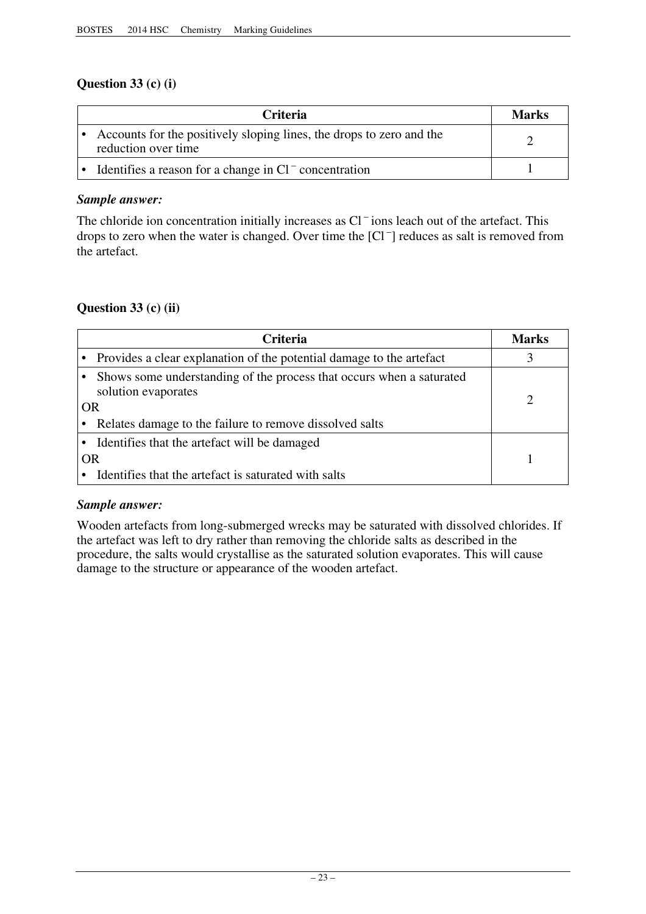# **Question 33 (c) (i)**

| <b>Criteria</b>                                                                             | <b>Marks</b> |
|---------------------------------------------------------------------------------------------|--------------|
| Accounts for the positively sloping lines, the drops to zero and the<br>reduction over time |              |
| Identifies a reason for a change in $Cl^-$ concentration                                    |              |

# *Sample answer:*

The chloride ion concentration initially increases as Cl<sup>-</sup>ions leach out of the artefact. This drops to zero when the water is changed. Over time the [Cl – ] reduces as salt is removed from the artefact.

# **Question 33 (c) (ii)**

| <b>Criteria</b>                                                                                                                                                     | Marks |
|---------------------------------------------------------------------------------------------------------------------------------------------------------------------|-------|
| Provides a clear explanation of the potential damage to the artefact                                                                                                |       |
| Shows some understanding of the process that occurs when a saturated<br>solution evaporates<br><b>OR</b><br>Relates damage to the failure to remove dissolved salts |       |
| Identifies that the artefact will be damaged<br><b>OR</b><br>Identifies that the artefact is saturated with salts                                                   |       |

# *Sample answer:*

Wooden artefacts from long-submerged wrecks may be saturated with dissolved chlorides. If the artefact was left to dry rather than removing the chloride salts as described in the procedure, the salts would crystallise as the saturated solution evaporates. This will cause damage to the structure or appearance of the wooden artefact.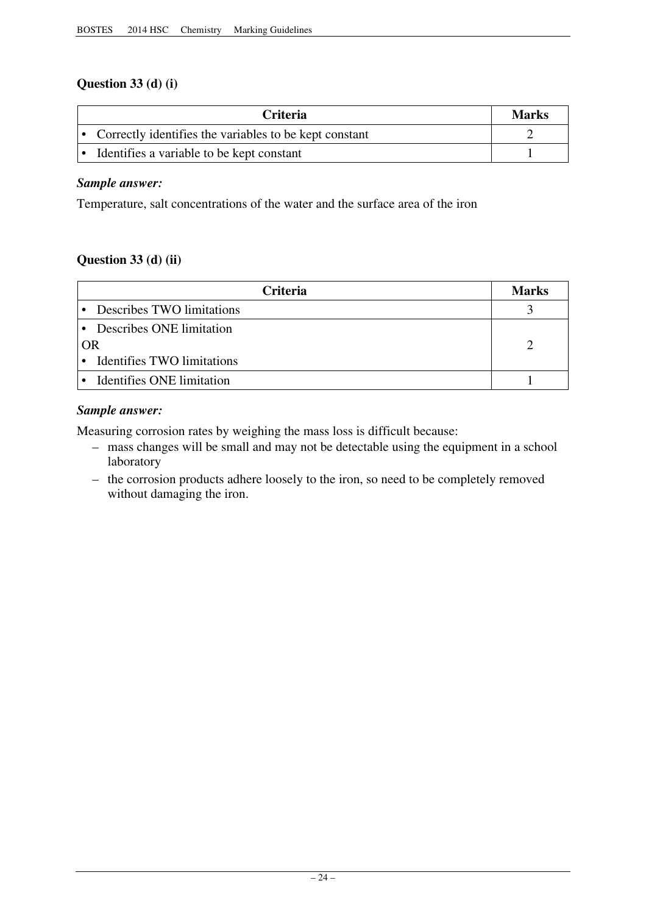# **Question 33 (d) (i)**

| <b>Criteria</b>                                          | <b>Marks</b> |
|----------------------------------------------------------|--------------|
| • Correctly identifies the variables to be kept constant |              |
| • Identifies a variable to be kept constant              |              |

# *Sample answer:*

Temperature, salt concentrations of the water and the surface area of the iron

# **Question 33 (d) (ii)**

| <b>Criteria</b>              | Marks |
|------------------------------|-------|
| Describes TWO limitations    |       |
| • Describes ONE limitation   |       |
| OR                           |       |
| • Identifies TWO limitations |       |
| Identifies ONE limitation    |       |

# *Sample answer:*

Measuring corrosion rates by weighing the mass loss is difficult because:

- mass changes will be small and may not be detectable using the equipment in a school laboratory
- the corrosion products adhere loosely to the iron, so need to be completely removed without damaging the iron.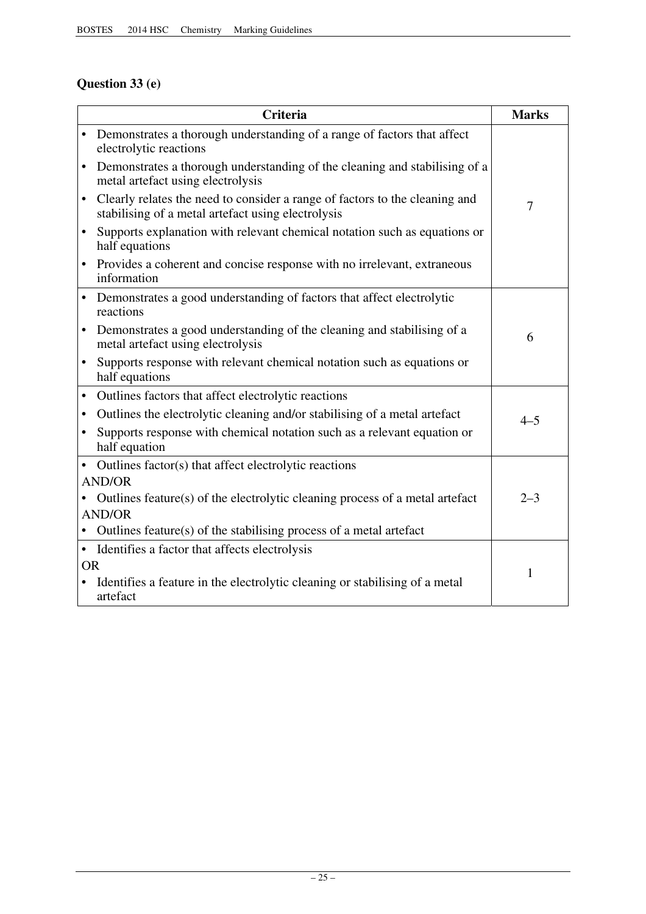# **Question 33 (e)**

|           | <b>Criteria</b>                                                                                                                   | <b>Marks</b> |
|-----------|-----------------------------------------------------------------------------------------------------------------------------------|--------------|
| $\bullet$ | Demonstrates a thorough understanding of a range of factors that affect<br>electrolytic reactions                                 |              |
| $\bullet$ | Demonstrates a thorough understanding of the cleaning and stabilising of a<br>metal artefact using electrolysis                   |              |
| $\bullet$ | Clearly relates the need to consider a range of factors to the cleaning and<br>stabilising of a metal artefact using electrolysis | 7            |
| $\bullet$ | Supports explanation with relevant chemical notation such as equations or<br>half equations                                       |              |
|           | • Provides a coherent and concise response with no irrelevant, extraneous<br>information                                          |              |
|           | • Demonstrates a good understanding of factors that affect electrolytic<br>reactions                                              |              |
| $\bullet$ | Demonstrates a good understanding of the cleaning and stabilising of a<br>metal artefact using electrolysis                       | 6            |
| $\bullet$ | Supports response with relevant chemical notation such as equations or<br>half equations                                          |              |
| $\bullet$ | Outlines factors that affect electrolytic reactions                                                                               |              |
| $\bullet$ | Outlines the electrolytic cleaning and/or stabilising of a metal artefact                                                         | $4 - 5$      |
| $\bullet$ | Supports response with chemical notation such as a relevant equation or<br>half equation                                          |              |
|           | Outlines factor(s) that affect electrolytic reactions                                                                             |              |
|           | <b>AND/OR</b>                                                                                                                     |              |
|           | Outlines feature(s) of the electrolytic cleaning process of a metal artefact                                                      | $2 - 3$      |
|           | <b>AND/OR</b>                                                                                                                     |              |
|           | Outlines feature(s) of the stabilising process of a metal artefact                                                                |              |
|           | • Identifies a factor that affects electrolysis                                                                                   |              |
| <b>OR</b> |                                                                                                                                   | 1            |
|           | Identifies a feature in the electrolytic cleaning or stabilising of a metal<br>artefact                                           |              |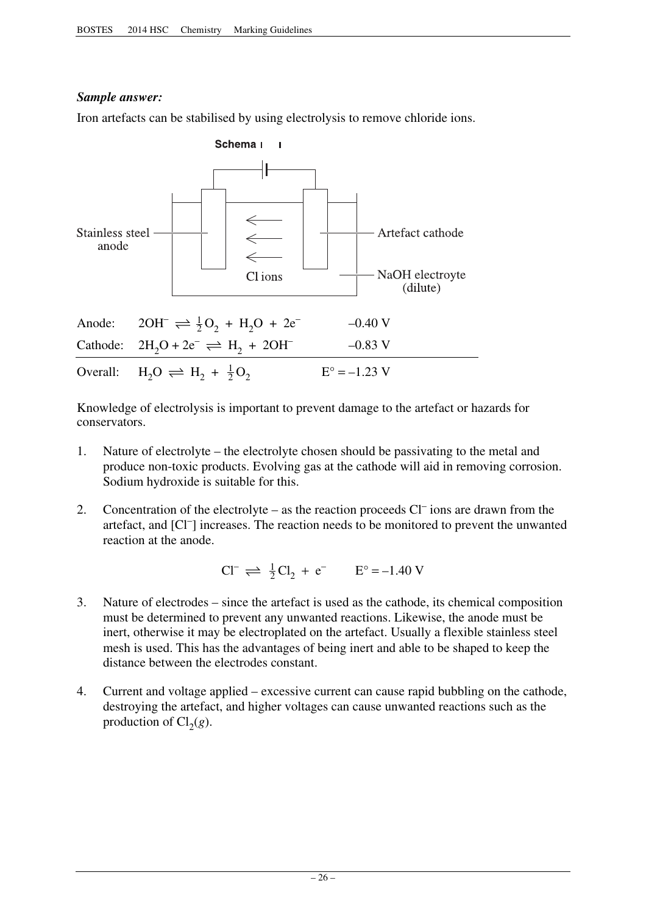# *Sample answer:*

Iron artefacts can be stabilised by using electrolysis to remove chloride ions.



Knowledge of electrolysis is important to prevent damage to the artefact or hazards for conservators.

- 1. Nature of electrolyte the electrolyte chosen should be passivating to the metal and produce non-toxic products. Evolving gas at the cathode will aid in removing corrosion. Sodium hydroxide is suitable for this.
- 2. Concentration of the electrolyte as the reaction proceeds  $Cl^-$  ions are drawn from the artefact, and [Cl– ] increases. The reaction needs to be monitored to prevent the unwanted reaction at the anode.

$$
Cl^{-} \rightleftharpoons \frac{1}{2}Cl_{2} + e^{-} \qquad E^{\circ} = -1.40 \text{ V}
$$

- 3. Nature of electrodes since the artefact is used as the cathode, its chemical composition must be determined to prevent any unwanted reactions. Likewise, the anode must be inert, otherwise it may be electroplated on the artefact. Usually a flexible stainless steel mesh is used. This has the advantages of being inert and able to be shaped to keep the distance between the electrodes constant.
- 4. Current and voltage applied excessive current can cause rapid bubbling on the cathode, destroying the artefact, and higher voltages can cause unwanted reactions such as the production of  $Cl<sub>2</sub>(g)$ .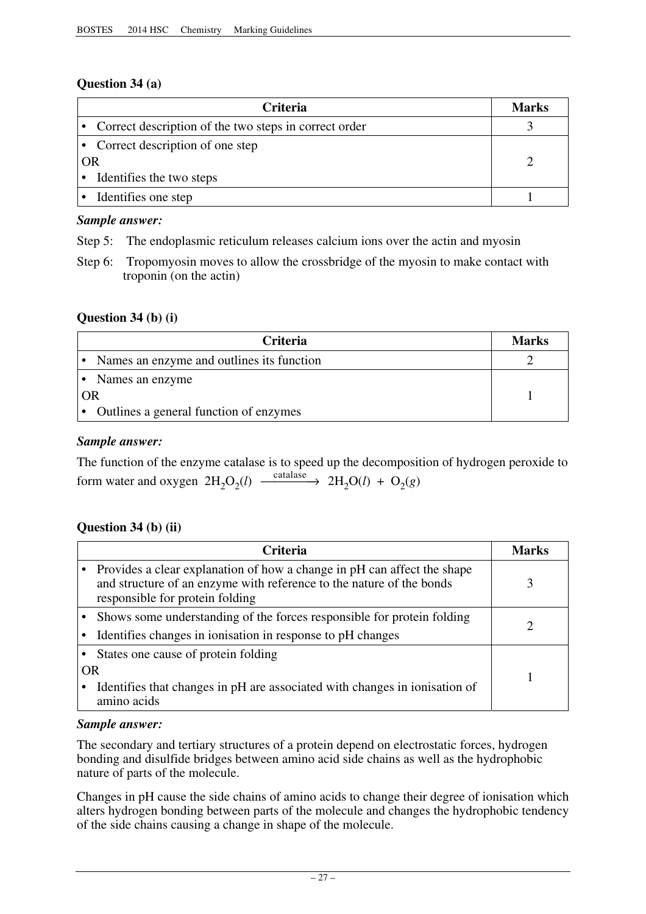# **Question 34 (a)**

| <b>Criteria</b>                                         | Marks |
|---------------------------------------------------------|-------|
| • Correct description of the two steps in correct order |       |
| • Correct description of one step                       |       |
| OR                                                      |       |
| Identifies the two steps                                |       |
| Identifies one step                                     |       |

# *Sample answer:*

Step 5: The endoplasmic reticulum releases calcium ions over the actin and myosin

Step 6: Tropomyosin moves to allow the crossbridge of the myosin to make contact with troponin (on the actin)

# **Question 34 (b) (i)**

| Criteria                                  | <b>Marks</b> |
|-------------------------------------------|--------------|
| Names an enzyme and outlines its function |              |
| Names an enzyme                           |              |
| OR                                        |              |
| Outlines a general function of enzymes    |              |

# *Sample answer:*

The function of the enzyme catalase is to speed up the decomposition of hydrogen peroxide to form water and oxygen  $2H_2O_2(l) \xrightarrow{\text{catalase}} 2H_2O(l) + O_2(g)$ 

# **Question 34 (b) (ii)**

|           | <b>Criteria</b>                                                                                                                                                                    | Marks |
|-----------|------------------------------------------------------------------------------------------------------------------------------------------------------------------------------------|-------|
|           | Provides a clear explanation of how a change in pH can affect the shape<br>and structure of an enzyme with reference to the nature of the bonds<br>responsible for protein folding |       |
|           | • Shows some understanding of the forces responsible for protein folding                                                                                                           |       |
|           | Identifies changes in ionisation in response to pH changes                                                                                                                         |       |
|           | States one cause of protein folding                                                                                                                                                |       |
| <b>OR</b> |                                                                                                                                                                                    |       |
|           | Identifies that changes in pH are associated with changes in ionisation of<br>amino acids                                                                                          |       |

# *Sample answer:*

The secondary and tertiary structures of a protein depend on electrostatic forces, hydrogen bonding and disulfide bridges between amino acid side chains as well as the hydrophobic nature of parts of the molecule.

Changes in pH cause the side chains of amino acids to change their degree of ionisation which alters hydrogen bonding between parts of the molecule and changes the hydrophobic tendency of the side chains causing a change in shape of the molecule.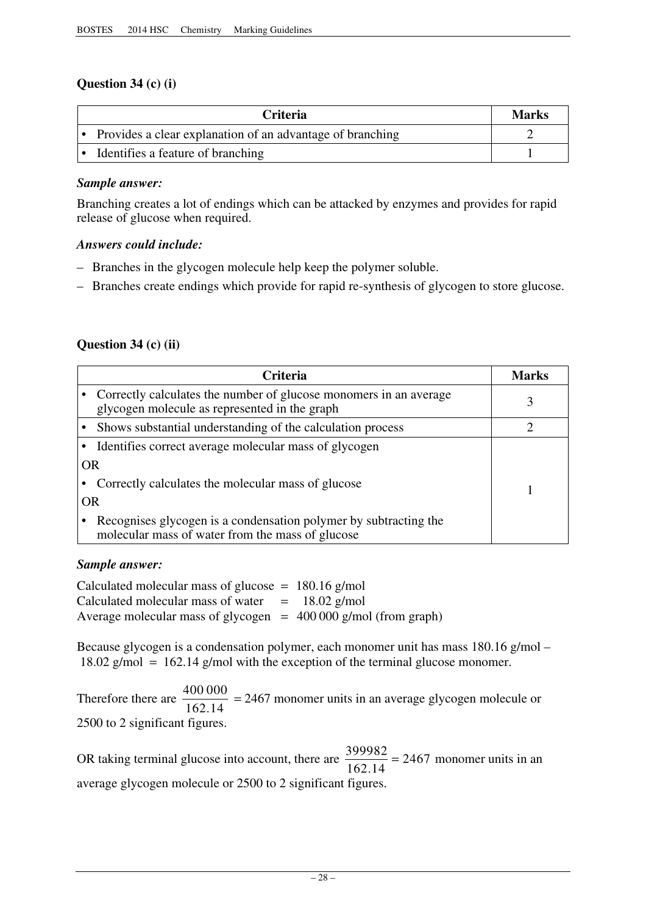# **Question 34 (c) (i)**

| <b>Criteria</b>                                           | Marks |
|-----------------------------------------------------------|-------|
| Provides a clear explanation of an advantage of branching |       |
| Identifies a feature of branching                         |       |

# *Sample answer:*

Branching creates a lot of endings which can be attacked by enzymes and provides for rapid release of glucose when required.

# *Answers could include:*

- Branches in the glycogen molecule help keep the polymer soluble.
- Branches create endings which provide for rapid re-synthesis of glycogen to store glucose.

# **Question 34 (c) (ii)**

| <b>Criteria</b>                                                                                                      | Marks |
|----------------------------------------------------------------------------------------------------------------------|-------|
| Correctly calculates the number of glucose monomers in an average<br>glycogen molecule as represented in the graph   |       |
| Shows substantial understanding of the calculation process                                                           |       |
| Identifies correct average molecular mass of glycogen                                                                |       |
| <b>OR</b>                                                                                                            |       |
| Correctly calculates the molecular mass of glucose                                                                   |       |
| <b>OR</b>                                                                                                            |       |
| Recognises glycogen is a condensation polymer by subtracting the<br>molecular mass of water from the mass of glucose |       |

# *Sample answer:*

Calculated molecular mass of water  $= 18.02$  g/mol Calculated molecular mass of glucose  $= 180.16$  g/mol Average molecular mass of glycogen  $= 400 000$  g/mol (from graph)

Because glycogen is a condensation polymer, each monomer unit has mass 180.16 g/mol –  $18.02$  g/mol = 162.14 g/mol with the exception of the terminal glucose monomer.

Therefore there are  $\frac{400\,000}{162.14}$  = 2467 monomer units in an average glycogen molecule or 2500 to 2 significant figures.

OR taking terminal glucose into account, there are  $\frac{399982}{1600 \text{ Hz}}$  = 2467 monomer units in an 162.14 average glycogen molecule or 2500 to 2 significant figures.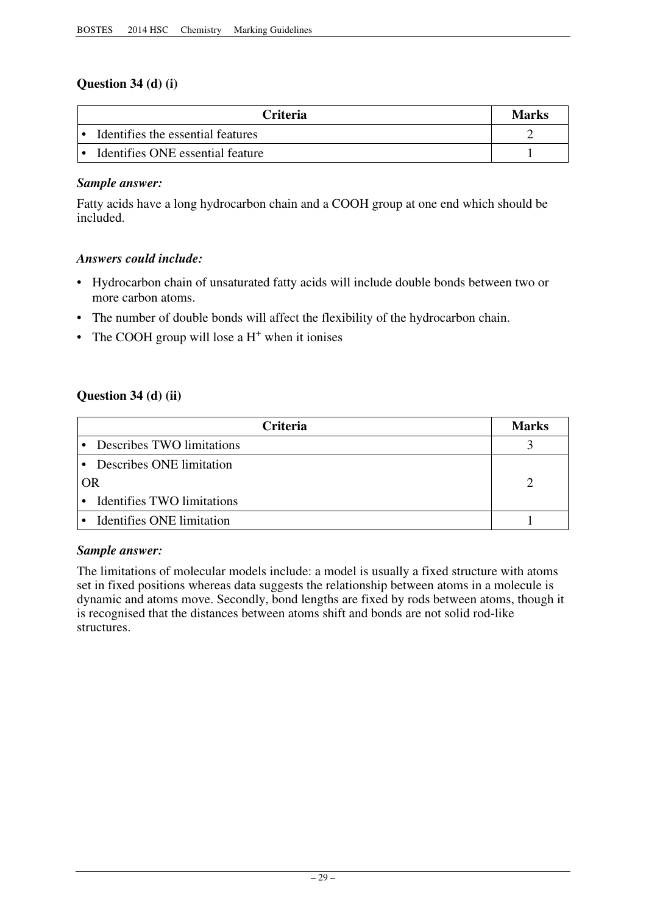# **Question 34 (d) (i)**

| <b>Criteria</b>                   | <b>Marks</b> |
|-----------------------------------|--------------|
| Identifies the essential features |              |
| Identifies ONE essential feature  |              |

# *Sample answer:*

Fatty acids have a long hydrocarbon chain and a COOH group at one end which should be included.

# *Answers could include:*

- Hydrocarbon chain of unsaturated fatty acids will include double bonds between two or more carbon atoms.
- The number of double bonds will affect the flexibility of the hydrocarbon chain.
- The COOH group will lose a  $H^+$  when it ionises

# **Question 34 (d) (ii)**

|    | <b>Criteria</b>                  | <b>Marks</b> |
|----|----------------------------------|--------------|
|    | Describes TWO limitations        |              |
|    | Describes ONE limitation         |              |
| OR |                                  |              |
|    | Identifies TWO limitations       |              |
|    | <b>Identifies ONE limitation</b> |              |

# *Sample answer:*

The limitations of molecular models include: a model is usually a fixed structure with atoms set in fixed positions whereas data suggests the relationship between atoms in a molecule is dynamic and atoms move. Secondly, bond lengths are fixed by rods between atoms, though it is recognised that the distances between atoms shift and bonds are not solid rod-like structures.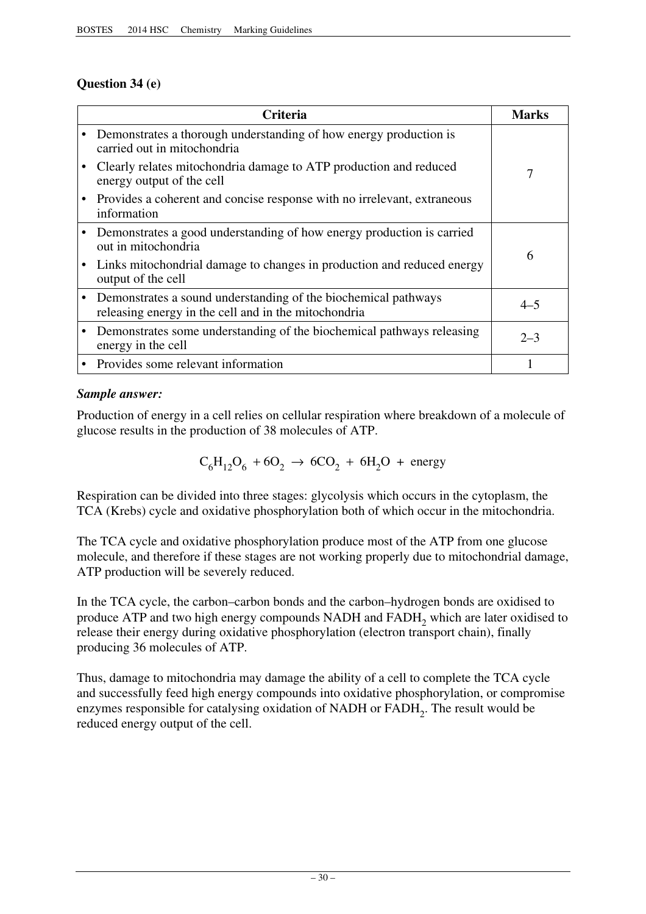# **Question 34 (e)**

| Criteria                                                                                                               | <b>Marks</b> |
|------------------------------------------------------------------------------------------------------------------------|--------------|
| Demonstrates a thorough understanding of how energy production is<br>carried out in mitochondria                       |              |
| Clearly relates mitochondria damage to ATP production and reduced<br>energy output of the cell                         | 7            |
| Provides a coherent and concise response with no irrelevant, extraneous<br>information                                 |              |
| Demonstrates a good understanding of how energy production is carried<br>out in mitochondria                           | 6            |
| Links mitochondrial damage to changes in production and reduced energy<br>output of the cell                           |              |
| Demonstrates a sound understanding of the biochemical pathways<br>releasing energy in the cell and in the mitochondria | $4 - 5$      |
| Demonstrates some understanding of the biochemical pathways releasing<br>energy in the cell                            | $2 - 3$      |
| Provides some relevant information                                                                                     |              |

# *Sample answer:*

Production of energy in a cell relies on cellular respiration where breakdown of a molecule of glucose results in the production of 38 molecules of ATP.

 $C_6H_{12}O_6 + 6O_2 \rightarrow 6CO_2 + 6H_2O +$  energy

Respiration can be divided into three stages: glycolysis which occurs in the cytoplasm, the TCA (Krebs) cycle and oxidative phosphorylation both of which occur in the mitochondria.

The TCA cycle and oxidative phosphorylation produce most of the ATP from one glucose molecule, and therefore if these stages are not working properly due to mitochondrial damage, ATP production will be severely reduced.

In the TCA cycle, the carbon–carbon bonds and the carbon–hydrogen bonds are oxidised to produce ATP and two high energy compounds NADH and FADH<sub>2</sub> which are later oxidised to release their energy during oxidative phosphorylation (electron transport chain), finally producing 36 molecules of ATP.

Thus, damage to mitochondria may damage the ability of a cell to complete the TCA cycle and successfully feed high energy compounds into oxidative phosphorylation, or compromise enzymes responsible for catalysing oxidation of NADH or FADH<sub>2</sub>. The result would be reduced energy output of the cell.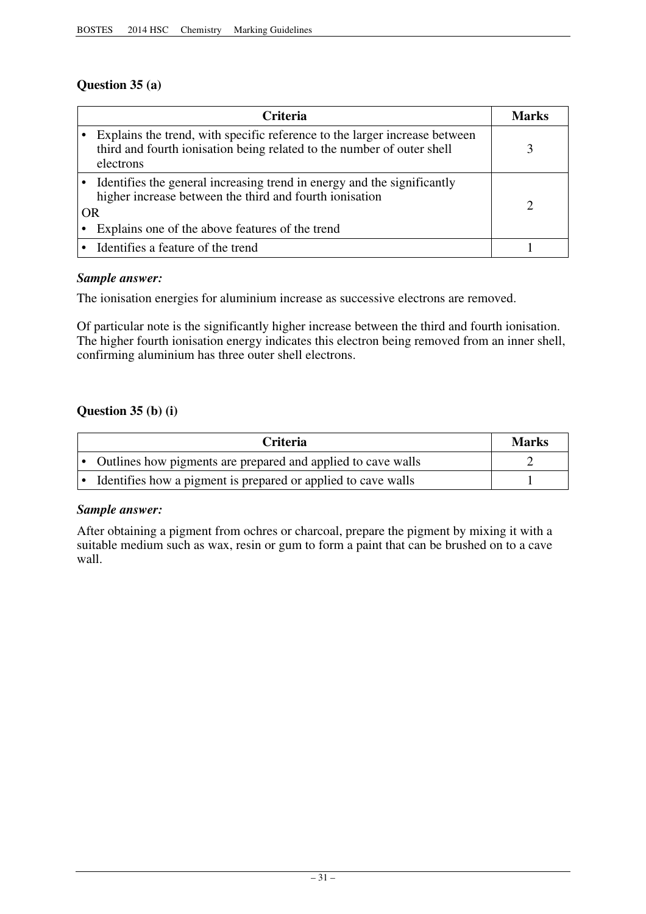# **Question 35 (a)**

|           | <b>Criteria</b>                                                                                                                                                   | Marks |
|-----------|-------------------------------------------------------------------------------------------------------------------------------------------------------------------|-------|
|           | Explains the trend, with specific reference to the larger increase between<br>third and fourth ionisation being related to the number of outer shell<br>electrons |       |
|           | Identifies the general increasing trend in energy and the significantly<br>higher increase between the third and fourth ionisation                                |       |
| <b>OR</b> |                                                                                                                                                                   |       |
|           | Explains one of the above features of the trend                                                                                                                   |       |
|           | • Identifies a feature of the trend                                                                                                                               |       |

# *Sample answer:*

The ionisation energies for aluminium increase as successive electrons are removed.

Of particular note is the significantly higher increase between the third and fourth ionisation. The higher fourth ionisation energy indicates this electron being removed from an inner shell, confirming aluminium has three outer shell electrons.

# **Question 35 (b) (i)**

| <b>Criteria</b>                                                | Marks |
|----------------------------------------------------------------|-------|
| • Outlines how pigments are prepared and applied to cave walls |       |
| Identifies how a pigment is prepared or applied to cave walls  |       |

# *Sample answer:*

After obtaining a pigment from ochres or charcoal, prepare the pigment by mixing it with a suitable medium such as wax, resin or gum to form a paint that can be brushed on to a cave wall.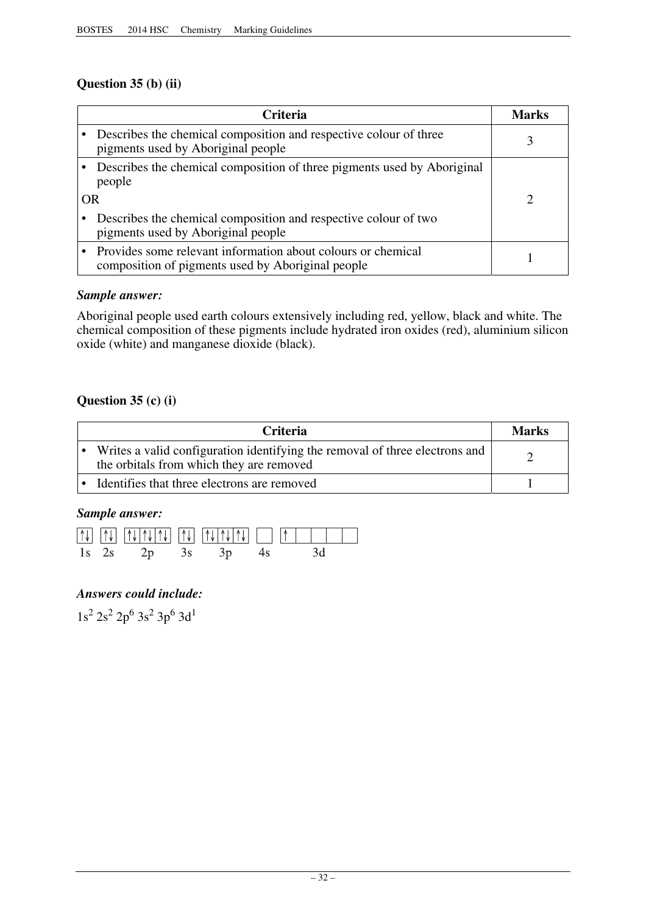# **Question 35 (b) (ii)**

| <b>Criteria</b>                                                                                                   | Marks |
|-------------------------------------------------------------------------------------------------------------------|-------|
| Describes the chemical composition and respective colour of three<br>pigments used by Aboriginal people           |       |
| Describes the chemical composition of three pigments used by Aboriginal<br>people<br><b>OR</b>                    |       |
| Describes the chemical composition and respective colour of two<br>pigments used by Aboriginal people             |       |
| Provides some relevant information about colours or chemical<br>composition of pigments used by Aboriginal people |       |

# *Sample answer:*

Aboriginal people used earth colours extensively including red, yellow, black and white. The chemical composition of these pigments include hydrated iron oxides (red), aluminium silicon oxide (white) and manganese dioxide (black).

# **Question 35 (c) (i)**

| <b>Criteria</b>                                                                                                         | <b>Marks</b> |
|-------------------------------------------------------------------------------------------------------------------------|--------------|
| Writes a valid configuration identifying the removal of three electrons and<br>the orbitals from which they are removed |              |
| Identifies that three electrons are removed                                                                             |              |

# *Sample answer:*



# *Answers could include:*

 $1s^2$   $2s^2$   $2p^6$   $3s^2$   $3p^6$   $3d^1$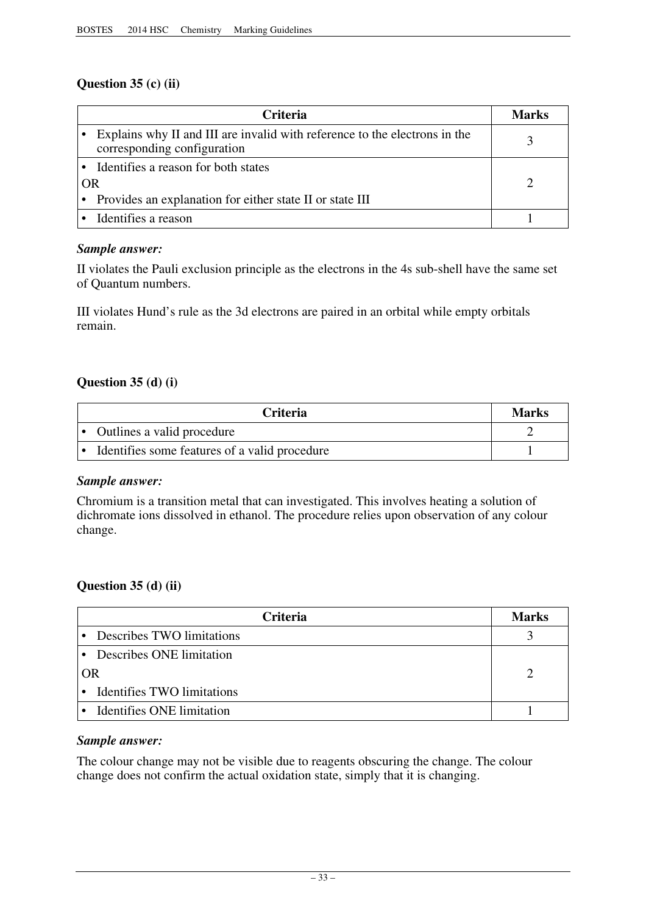# **Question 35 (c) (ii)**

|           | <b>Criteria</b>                                                                                           | Marks |
|-----------|-----------------------------------------------------------------------------------------------------------|-------|
|           | Explains why II and III are invalid with reference to the electrons in the<br>corresponding configuration |       |
|           | Identifies a reason for both states                                                                       |       |
| <b>OR</b> |                                                                                                           |       |
|           | • Provides an explanation for either state II or state III                                                |       |
|           | Identifies a reason                                                                                       |       |

# *Sample answer:*

II violates the Pauli exclusion principle as the electrons in the 4s sub-shell have the same set of Quantum numbers.

III violates Hund's rule as the 3d electrons are paired in an orbital while empty orbitals remain.

# **Question 35 (d) (i)**

| <b>Criteria</b>                               | <b>Marks</b> |
|-----------------------------------------------|--------------|
| Outlines a valid procedure                    |              |
| Identifies some features of a valid procedure |              |

# *Sample answer:*

Chromium is a transition metal that can investigated. This involves heating a solution of dichromate ions dissolved in ethanol. The procedure relies upon observation of any colour change.

# **Question 35 (d) (ii)**

| <b>Criteria</b>                         | <b>Marks</b> |
|-----------------------------------------|--------------|
| Describes TWO limitations               |              |
| • Describes ONE limitation              |              |
| OR                                      |              |
| Identifies TWO limitations<br>$\bullet$ |              |
| <b>Identifies ONE limitation</b>        |              |

# *Sample answer:*

The colour change may not be visible due to reagents obscuring the change. The colour change does not confirm the actual oxidation state, simply that it is changing.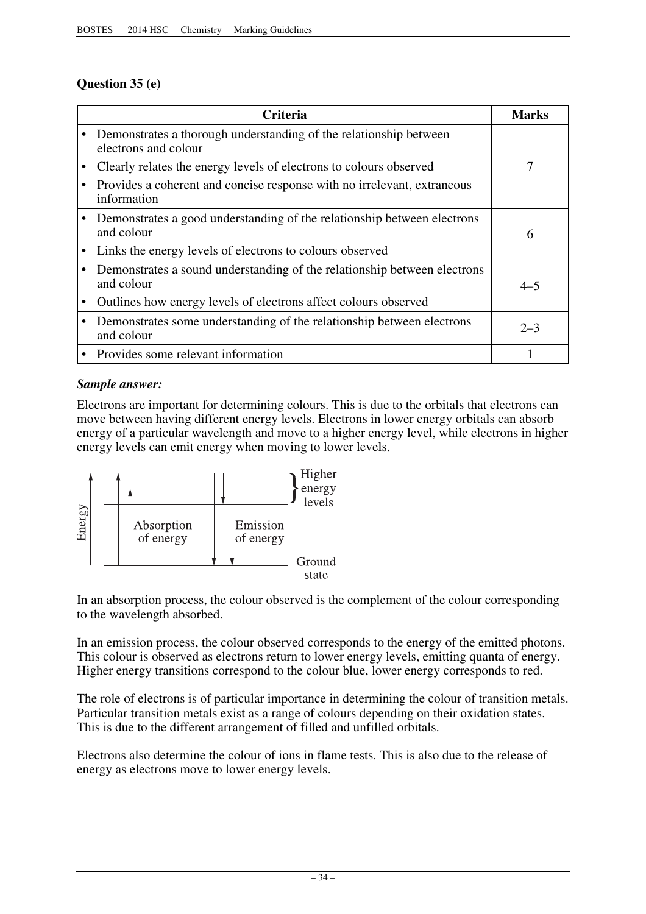# **Question 35 (e)**

| Criteria                                                                                  | <b>Marks</b> |
|-------------------------------------------------------------------------------------------|--------------|
| Demonstrates a thorough understanding of the relationship between<br>electrons and colour |              |
| Clearly relates the energy levels of electrons to colours observed                        | 7            |
| Provides a coherent and concise response with no irrelevant, extraneous<br>information    |              |
| Demonstrates a good understanding of the relationship between electrons<br>and colour     | 6            |
| Links the energy levels of electrons to colours observed                                  |              |
| Demonstrates a sound understanding of the relationship between electrons<br>and colour    | $4 - 5$      |
| Outlines how energy levels of electrons affect colours observed                           |              |
| Demonstrates some understanding of the relationship between electrons<br>and colour       | $2 - 3$      |
| • Provides some relevant information                                                      |              |

# *Sample answer:*

Electrons are important for determining colours. This is due to the orbitals that electrons can move between having different energy levels. Electrons in lower energy orbitals can absorb energy of a particular wavelength and move to a higher energy level, while electrons in higher energy levels can emit energy when moving to lower levels.



In an absorption process, the colour observed is the complement of the colour corresponding to the wavelength absorbed.

In an emission process, the colour observed corresponds to the energy of the emitted photons. This colour is observed as electrons return to lower energy levels, emitting quanta of energy. Higher energy transitions correspond to the colour blue, lower energy corresponds to red.

The role of electrons is of particular importance in determining the colour of transition metals. Particular transition metals exist as a range of colours depending on their oxidation states. This is due to the different arrangement of filled and unfilled orbitals.

Electrons also determine the colour of ions in flame tests. This is also due to the release of energy as electrons move to lower energy levels.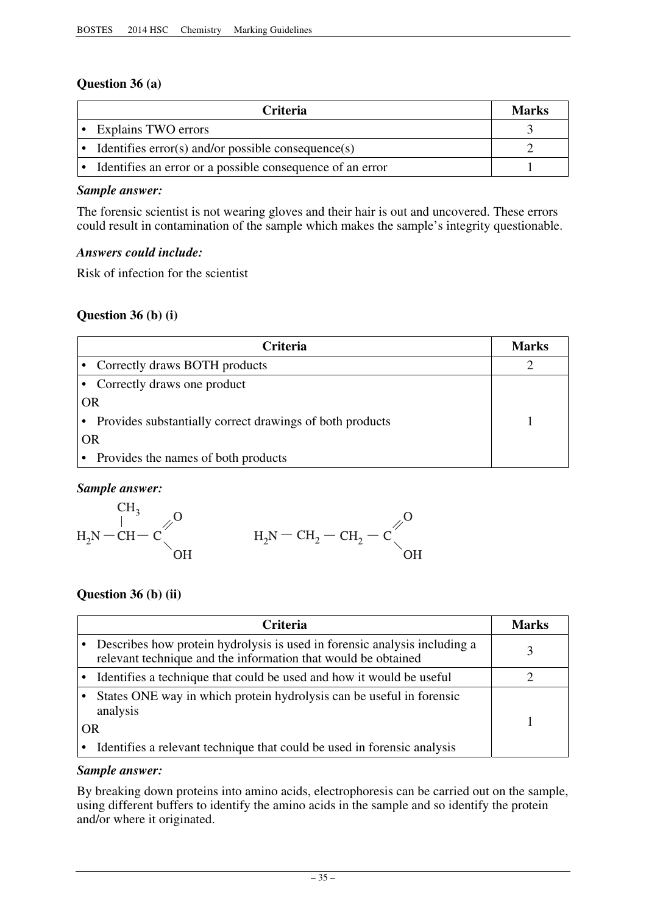# **Question 36 (a)**

| <b>Criteria</b>                                                     | <b>Marks</b> |
|---------------------------------------------------------------------|--------------|
| • Explains TWO errors                                               |              |
| • Identifies $error(s)$ and/or possible consequence(s)              |              |
| $\bullet$ Identifies an error or a possible consequence of an error |              |

# *Sample answer:*

The forensic scientist is not wearing gloves and their hair is out and uncovered. These errors could result in contamination of the sample which makes the sample's integrity questionable.

# *Answers could include:*

Risk of infection for the scientist

# **Question 36 (b) (i)**

| <b>Criteria</b>                                          | Marks |
|----------------------------------------------------------|-------|
| • Correctly draws BOTH products                          |       |
| Correctly draws one product                              |       |
| <b>OR</b>                                                |       |
| Provides substantially correct drawings of both products |       |
| <b>OR</b>                                                |       |
| Provides the names of both products                      |       |



# **Question 36 (b) (ii)**

|    | <b>Criteria</b>                                                                                                                            | Marks |
|----|--------------------------------------------------------------------------------------------------------------------------------------------|-------|
|    | Describes how protein hydrolysis is used in forensic analysis including a<br>relevant technique and the information that would be obtained |       |
|    | Identifies a technique that could be used and how it would be useful                                                                       |       |
|    | States ONE way in which protein hydrolysis can be useful in forensic<br>analysis                                                           |       |
| OR |                                                                                                                                            |       |
|    | Identifies a relevant technique that could be used in forensic analysis                                                                    |       |

# *Sample answer:*

By breaking down proteins into amino acids, electrophoresis can be carried out on the sample, using different buffers to identify the amino acids in the sample and so identify the protein and/or where it originated.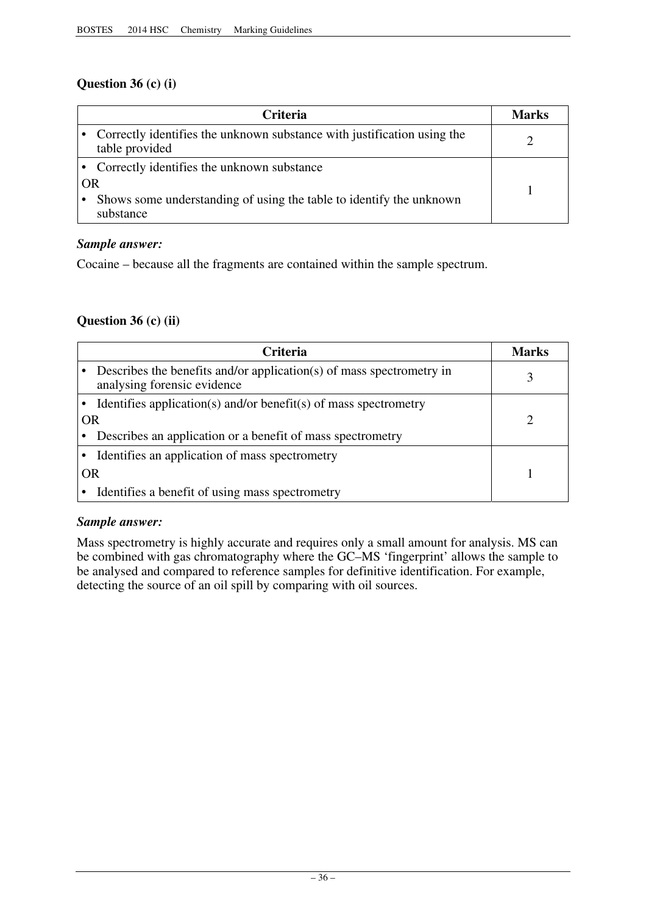# **Question 36 (c) (i)**

|    | Criteria                                                                                  | Marks |
|----|-------------------------------------------------------------------------------------------|-------|
|    | Correctly identifies the unknown substance with justification using the<br>table provided |       |
|    | • Correctly identifies the unknown substance                                              |       |
| OR |                                                                                           |       |
|    | Shows some understanding of using the table to identify the unknown<br>substance          |       |

# *Sample answer:*

Cocaine – because all the fragments are contained within the sample spectrum.

# **Question 36 (c) (ii)**

| <b>Criteria</b> |                                                                                                     |  |  |
|-----------------|-----------------------------------------------------------------------------------------------------|--|--|
|                 | Describes the benefits and/or application(s) of mass spectrometry in<br>analysing forensic evidence |  |  |
|                 | Identifies application(s) and/or benefit(s) of mass spectrometry                                    |  |  |
|                 | OR                                                                                                  |  |  |
|                 | Describes an application or a benefit of mass spectrometry                                          |  |  |
|                 | Identifies an application of mass spectrometry                                                      |  |  |
| OR              |                                                                                                     |  |  |
|                 | Identifies a benefit of using mass spectrometry                                                     |  |  |

# *Sample answer:*

Mass spectrometry is highly accurate and requires only a small amount for analysis. MS can be combined with gas chromatography where the GC–MS 'fingerprint' allows the sample to be analysed and compared to reference samples for definitive identification. For example, detecting the source of an oil spill by comparing with oil sources.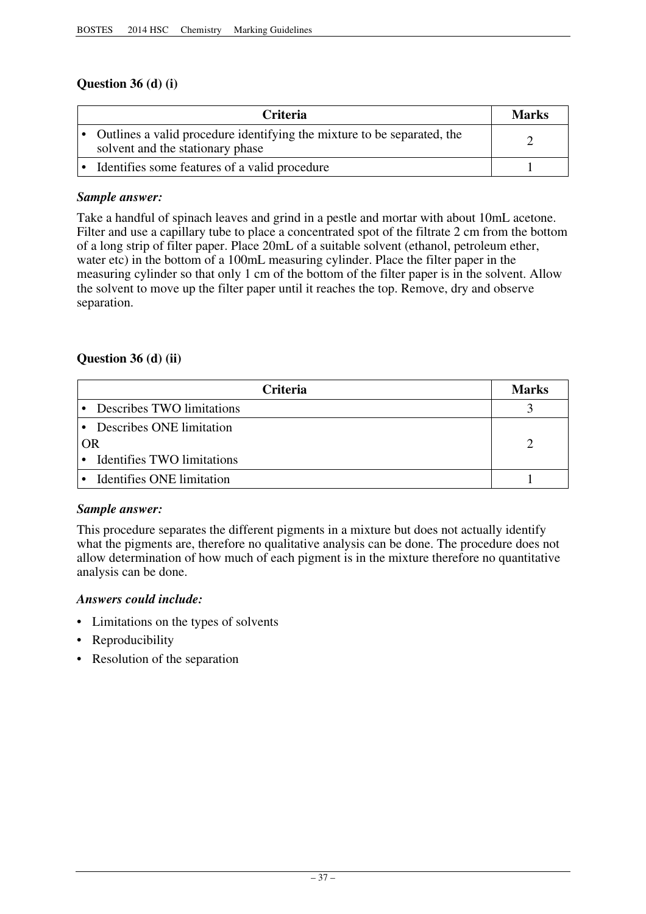# **Question 36 (d) (i)**

| <b>Criteria</b>                                                                                             | <b>Marks</b> |
|-------------------------------------------------------------------------------------------------------------|--------------|
| Outlines a valid procedure identifying the mixture to be separated, the<br>solvent and the stationary phase |              |
| Identifies some features of a valid procedure                                                               |              |

# *Sample answer:*

Take a handful of spinach leaves and grind in a pestle and mortar with about 10mL acetone. Filter and use a capillary tube to place a concentrated spot of the filtrate 2 cm from the bottom of a long strip of filter paper. Place 20mL of a suitable solvent (ethanol, petroleum ether, water etc) in the bottom of a 100mL measuring cylinder. Place the filter paper in the measuring cylinder so that only 1 cm of the bottom of the filter paper is in the solvent. Allow the solvent to move up the filter paper until it reaches the top. Remove, dry and observe separation.

# **Question 36 (d) (ii)**

|    | <b>Marks</b>                      |  |  |  |  |
|----|-----------------------------------|--|--|--|--|
|    | Describes TWO limitations         |  |  |  |  |
|    | Describes ONE limitation          |  |  |  |  |
| OR |                                   |  |  |  |  |
|    | <b>Identifies TWO limitations</b> |  |  |  |  |
|    | Identifies ONE limitation         |  |  |  |  |

# *Sample answer:*

This procedure separates the different pigments in a mixture but does not actually identify what the pigments are, therefore no qualitative analysis can be done. The procedure does not allow determination of how much of each pigment is in the mixture therefore no quantitative analysis can be done.

# *Answers could include:*

- Limitations on the types of solvents
- Reproducibility
- Resolution of the separation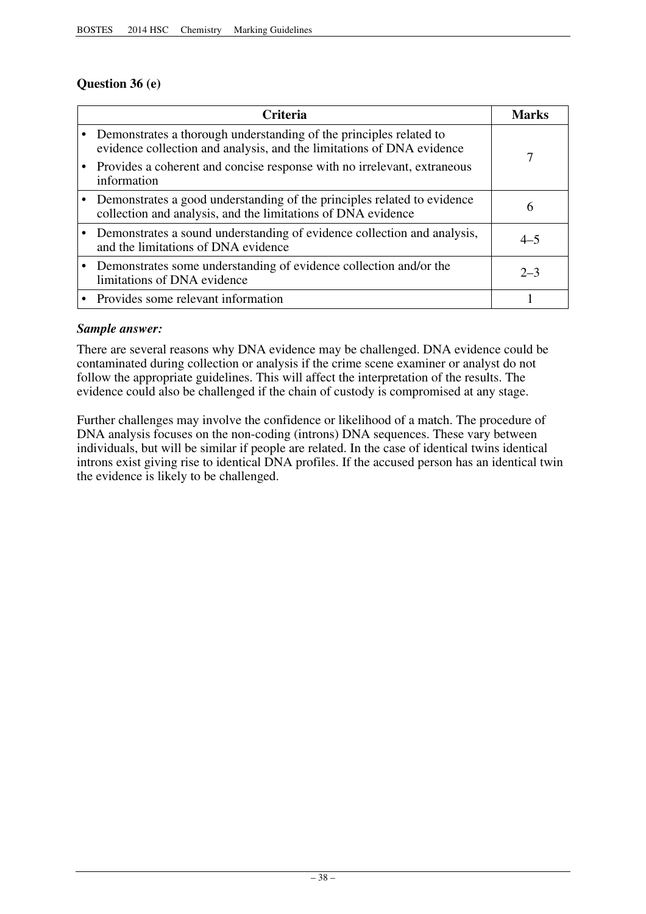# **Question 36 (e)**

| <b>Criteria</b>                                                                                                                             |         |  |  |  |
|---------------------------------------------------------------------------------------------------------------------------------------------|---------|--|--|--|
| Demonstrates a thorough understanding of the principles related to<br>evidence collection and analysis, and the limitations of DNA evidence | 7       |  |  |  |
| Provides a coherent and concise response with no irrelevant, extraneous<br>information                                                      |         |  |  |  |
| Demonstrates a good understanding of the principles related to evidence<br>collection and analysis, and the limitations of DNA evidence     | 6       |  |  |  |
| • Demonstrates a sound understanding of evidence collection and analysis,<br>and the limitations of DNA evidence                            | $4 - 5$ |  |  |  |
| Demonstrates some understanding of evidence collection and/or the<br>limitations of DNA evidence                                            | $2 - 3$ |  |  |  |
| • Provides some relevant information                                                                                                        |         |  |  |  |

# *Sample answer:*

There are several reasons why DNA evidence may be challenged. DNA evidence could be contaminated during collection or analysis if the crime scene examiner or analyst do not follow the appropriate guidelines. This will affect the interpretation of the results. The evidence could also be challenged if the chain of custody is compromised at any stage.

Further challenges may involve the confidence or likelihood of a match. The procedure of DNA analysis focuses on the non-coding (introns) DNA sequences. These vary between individuals, but will be similar if people are related. In the case of identical twins identical introns exist giving rise to identical DNA profiles. If the accused person has an identical twin the evidence is likely to be challenged.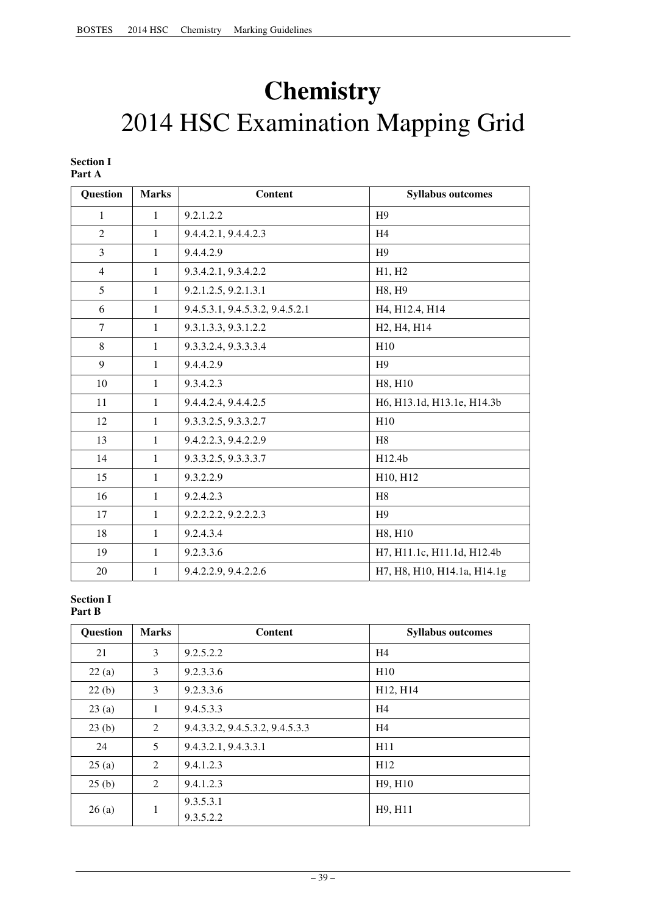# **Chemistry**  2014 HSC Examination Mapping Grid

#### **Section I Part A**

| Question       | <b>Marks</b> | <b>Content</b>                  | <b>Syllabus outcomes</b>                             |
|----------------|--------------|---------------------------------|------------------------------------------------------|
| 1              | $\mathbf{1}$ | 9.2.1.2.2                       | H9                                                   |
| $\overline{2}$ | $\mathbf{1}$ | 9.4.4.2.1, 9.4.4.2.3            | H <sub>4</sub>                                       |
| 3              | 1            | 9.4.4.2.9                       | H <sup>9</sup>                                       |
| $\overline{4}$ | $\mathbf{1}$ | 9.3.4.2.1, 9.3.4.2.2            | H1, H2                                               |
| 5              | $\mathbf{1}$ | 9.2.1.2.5, 9.2.1.3.1            | H8, H9                                               |
| 6              | $\mathbf{1}$ | 9.4.5.3.1, 9.4.5.3.2, 9.4.5.2.1 | H <sub>4</sub> , H <sub>12.4</sub> , H <sub>14</sub> |
| 7              | $\mathbf{1}$ | 9.3.1.3.3, 9.3.1.2.2            | H <sub>2</sub> , H <sub>4</sub> , H <sub>14</sub>    |
| 8              | $\mathbf{1}$ | 9.3.3.2.4, 9.3.3.3.4            | H10                                                  |
| 9              | $\mathbf{1}$ | 9.4.4.2.9                       | H <sup>9</sup>                                       |
| 10             | $\mathbf{1}$ | 9.3.4.2.3                       | H8, H10                                              |
| 11             | $\mathbf{1}$ | 9.4.4.2.4, 9.4.4.2.5            | H6, H13.1d, H13.1e, H14.3b                           |
| 12             | $\mathbf{1}$ | 9.3.3.2.5, 9.3.3.2.7            | H10                                                  |
| 13             | $\mathbf{1}$ | 9.4.2.2.3, 9.4.2.2.9            | H <sub>8</sub>                                       |
| 14             | $\mathbf{1}$ | 9.3.3.2.5, 9.3.3.3.7            | H12.4b                                               |
| 15             | 1            | 9.3.2.2.9                       | H10, H12                                             |
| 16             | $\mathbf{1}$ | 9.2.4.2.3                       | H <sub>8</sub>                                       |
| 17             | $\mathbf{1}$ | 9.2.2.2.2, 9.2.2.2.3            | H <sub>9</sub>                                       |
| 18             | $\mathbf{1}$ | 9.2.4.3.4                       | H8, H10                                              |
| 19             | $\mathbf{1}$ | 9.2.3.3.6                       | H7, H11.1c, H11.1d, H12.4b                           |
| 20             | $\mathbf{1}$ | 9.4.2.2.9, 9.4.2.2.6            | H7, H8, H10, H14.1a, H14.1g                          |

#### **Section I Part B**

| Question | <b>Marks</b> | <b>Content</b>                  | <b>Syllabus outcomes</b> |
|----------|--------------|---------------------------------|--------------------------|
| 21       | 3            | 9.2.5.2.2                       | H4                       |
| 22(a)    | 3            | 9.2.3.3.6                       | H10                      |
| 22(b)    | 3            | 9.2.3.3.6                       | H12, H14                 |
| 23(a)    | 1            | 9.4.5.3.3                       | H4                       |
| 23(b)    | 2            | 9.4.3.3.2, 9.4.5.3.2, 9.4.5.3.3 | H4                       |
| 24       | 5            | 9.4.3.2.1, 9.4.3.3.1            | H11                      |
| 25(a)    | 2            | 9.4.1.2.3                       | H12                      |
| 25(b)    | 2            | 9.4.1.2.3                       | H9, H10                  |
| 26(a)    | 1            | 9.3.5.3.1                       | H9, H11                  |
|          |              | 9.3.5.2.2                       |                          |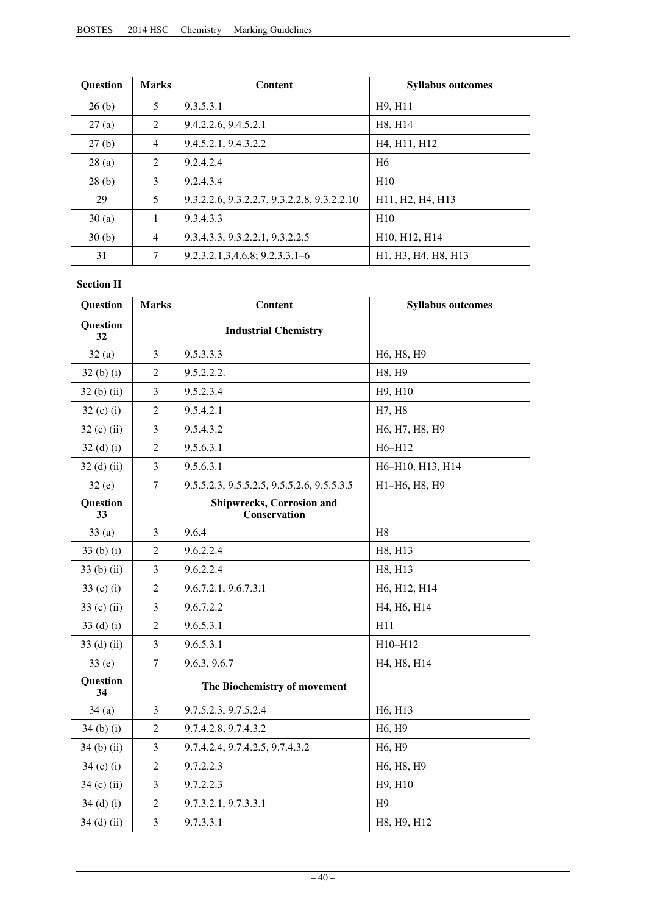| <b>Question</b> | <b>Marks</b>                | <b>Content</b>                              | <b>Syllabus outcomes</b>                                                            |
|-----------------|-----------------------------|---------------------------------------------|-------------------------------------------------------------------------------------|
| 26(b)           | 5                           | 9.3.5.3.1                                   | H <sub>9</sub> , H <sub>11</sub>                                                    |
| 27(a)           | 2                           | 9.4.2.2.6, 9.4.5.2.1                        | H8, H14                                                                             |
| 27(b)           | $\overline{4}$              | 9.4.5.2.1, 9.4.3.2.2                        | H <sub>4</sub> , H <sub>11</sub> , H <sub>12</sub>                                  |
| 28(a)           | $\mathcal{D}_{\mathcal{L}}$ | 9.2.4.2.4                                   | H <sub>6</sub>                                                                      |
| 28(b)           | 3                           | 9.2.4.3.4                                   | H <sub>10</sub>                                                                     |
| 29              | 5                           | 9.3.2.2.6, 9.3.2.2.7, 9.3.2.2.8, 9.3.2.2.10 | H <sub>11</sub> , H <sub>2</sub> , H <sub>4</sub> , H <sub>13</sub>                 |
| 30(a)           | 1                           | 9.3.4.3.3                                   | H10                                                                                 |
| 30(b)           | 4                           | 9.3.4.3.3, 9.3.2.2.1, 9.3.2.2.5             | H10, H12, H14                                                                       |
| 31              | 7                           | $9.2.3.2.1.3.4.6.8; 9.2.3.3.1 - 6$          | H <sub>1</sub> , H <sub>3</sub> , H <sub>4</sub> , H <sub>8</sub> , H <sub>13</sub> |

#### **Section II**

| Question              | <b>Marks</b>   | <b>Content</b>                                   | <b>Syllabus outcomes</b>        |
|-----------------------|----------------|--------------------------------------------------|---------------------------------|
| <b>Question</b><br>32 |                | <b>Industrial Chemistry</b>                      |                                 |
| 32(a)                 | 3              | 9.5.3.3.3                                        | H6, H8, H9                      |
| $32(b)$ (i)           | $\overline{c}$ | 9.5.2.2.2.                                       | H8, H9                          |
| $32(b)$ (ii)          | 3              | 9.5.2.3.4                                        | H9, H10                         |
| $32(c)$ (i)           | $\mathfrak 2$  | 9.5.4.2.1                                        | H7, H8                          |
| $32$ (c) (ii)         | 3              | 9.5.4.3.2                                        | H6, H7, H8, H9                  |
| $32$ (d) (i)          | $\overline{c}$ | 9.5.6.3.1                                        | H6-H12                          |
| $32$ (d) (ii)         | 3              | 9.5.6.3.1                                        | H6-H10, H13, H14                |
| 32(e)                 | $\tau$         | 9.5.5.2.3, 9.5.5.2.5, 9.5.5.2.6, 9.5.5.3.5       | H1-H6, H8, H9                   |
| Question<br>33        |                | <b>Shipwrecks, Corrosion and</b><br>Conservation |                                 |
| 33(a)                 | 3              | 9.6.4                                            | H8                              |
| $33(b)$ (i)           | $\mathfrak{2}$ | 9.6.2.2.4                                        | H8, H13                         |
| $33(b)$ (ii)          | 3              | 9.6.2.2.4                                        | H8, H13                         |
| 33 $(c)$ (i)          | $\overline{c}$ | 9.6.7.2.1, 9.6.7.3.1                             | H6, H12, H14                    |
| 33 (c) (ii)           | $\mathfrak{Z}$ | 9.6.7.2.2                                        | H4, H6, H14                     |
| $33$ (d) (i)          | $\mathfrak{2}$ | 9.6.5.3.1                                        | H11                             |
| $33$ (d) (ii)         | 3              | 9.6.5.3.1                                        | H10-H12                         |
| 33(e)                 | $\tau$         | 9.6.3, 9.6.7                                     | H4, H8, H14                     |
| Question<br>34        |                | The Biochemistry of movement                     |                                 |
| 34(a)                 | 3              | 9.7.5.2.3, 9.7.5.2.4                             | H6, H13                         |
| $34(b)$ (i)           | $\overline{2}$ | 9.7.4.2.8, 9.7.4.3.2                             | H6, H9                          |
| $34$ (b) (ii)         | $\mathfrak{Z}$ | 9.7.4.2.4, 9.7.4.2.5, 9.7.4.3.2                  | H <sub>6</sub> , H <sub>9</sub> |
| $34$ (c) (i)          | $\overline{2}$ | 9.7.2.2.3                                        | H6, H8, H9                      |
| $34$ (c) (ii)         | 3              | 9.7.2.2.3                                        | H9, H10                         |
| $34$ (d) (i)          | $\overline{c}$ | 9.7.3.2.1, 9.7.3.3.1                             | H <sup>9</sup>                  |
| $34$ (d) (ii)         | 3              | 9.7.3.3.1                                        | H8, H9, H12                     |